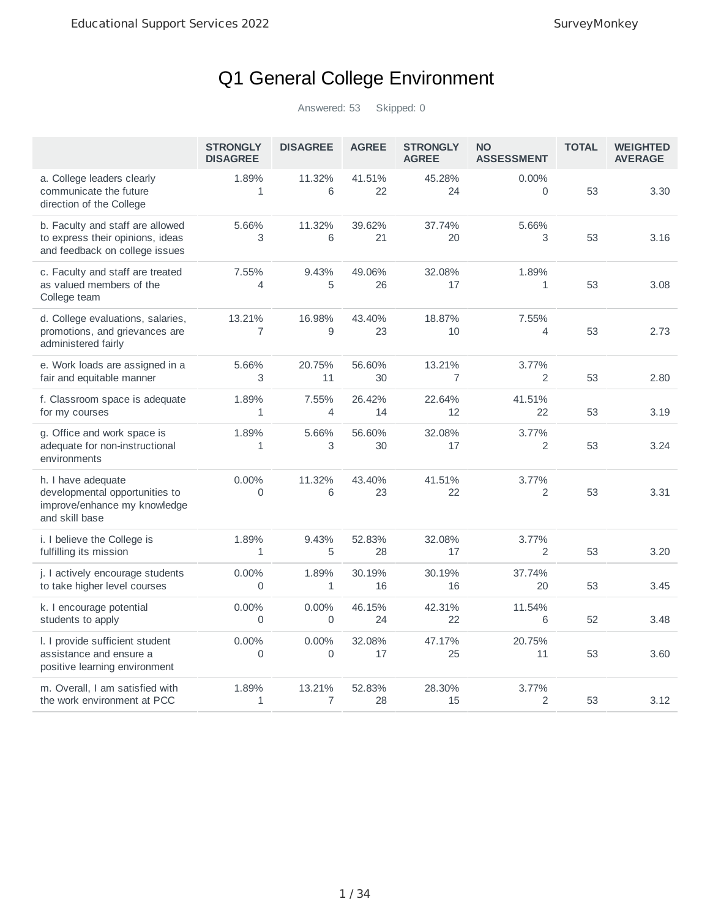# Q1 General College Environment

|                                                                                                        | <b>STRONGLY</b><br><b>DISAGREE</b> | <b>DISAGREE</b>          | <b>AGREE</b> | <b>STRONGLY</b><br><b>AGREE</b> | <b>NO</b><br><b>ASSESSMENT</b> | <b>TOTAL</b> | <b>WEIGHTED</b><br><b>AVERAGE</b> |
|--------------------------------------------------------------------------------------------------------|------------------------------------|--------------------------|--------------|---------------------------------|--------------------------------|--------------|-----------------------------------|
| a. College leaders clearly<br>communicate the future<br>direction of the College                       | 1.89%<br>1                         | 11.32%<br>6              | 41.51%<br>22 | 45.28%<br>24                    | 0.00%<br>$\Omega$              | 53           | 3.30                              |
| b. Faculty and staff are allowed<br>to express their opinions, ideas<br>and feedback on college issues | 5.66%<br>3                         | 11.32%<br>6              | 39.62%<br>21 | 37.74%<br>20                    | 5.66%<br>3                     | 53           | 3.16                              |
| c. Faculty and staff are treated<br>as valued members of the<br>College team                           | 7.55%<br>4                         | 9.43%<br>5               | 49.06%<br>26 | 32.08%<br>17                    | 1.89%<br>$\mathbf{1}$          | 53           | 3.08                              |
| d. College evaluations, salaries,<br>promotions, and grievances are<br>administered fairly             | 13.21%<br>$\overline{7}$           | 16.98%<br>9              | 43.40%<br>23 | 18.87%<br>10                    | 7.55%<br>$\overline{4}$        | 53           | 2.73                              |
| e. Work loads are assigned in a<br>fair and equitable manner                                           | 5.66%<br>3                         | 20.75%<br>11             | 56.60%<br>30 | 13.21%<br>$\overline{7}$        | 3.77%<br>2                     | 53           | 2.80                              |
| f. Classroom space is adequate<br>for my courses                                                       | 1.89%<br>1                         | 7.55%<br>$\overline{4}$  | 26.42%<br>14 | 22.64%<br>12                    | 41.51%<br>22                   | 53           | 3.19                              |
| g. Office and work space is<br>adequate for non-instructional<br>environments                          | 1.89%<br>1                         | 5.66%<br>3               | 56.60%<br>30 | 32.08%<br>17                    | 3.77%<br>2                     | 53           | 3.24                              |
| h. I have adequate<br>developmental opportunities to<br>improve/enhance my knowledge<br>and skill base | 0.00%<br>0                         | 11.32%<br>6              | 43.40%<br>23 | 41.51%<br>22                    | 3.77%<br>2                     | 53           | 3.31                              |
| i. I believe the College is<br>fulfilling its mission                                                  | 1.89%<br>$\mathbf{1}$              | 9.43%<br>5               | 52.83%<br>28 | 32.08%<br>17                    | 3.77%<br>2                     | 53           | 3.20                              |
| j. I actively encourage students<br>to take higher level courses                                       | 0.00%<br>0                         | 1.89%<br>$\mathbf{1}$    | 30.19%<br>16 | 30.19%<br>16                    | 37.74%<br>20                   | 53           | 3.45                              |
| k. I encourage potential<br>students to apply                                                          | 0.00%<br>$\Omega$                  | $0.00\%$<br>$\mathbf 0$  | 46.15%<br>24 | 42.31%<br>22                    | 11.54%<br>6                    | 52           | 3.48                              |
| I. I provide sufficient student<br>assistance and ensure a<br>positive learning environment            | 0.00%<br>0                         | 0.00%<br>$\mathbf 0$     | 32.08%<br>17 | 47.17%<br>25                    | 20.75%<br>11                   | 53           | 3.60                              |
| m. Overall, I am satisfied with<br>the work environment at PCC                                         | 1.89%<br>1                         | 13.21%<br>$\overline{7}$ | 52.83%<br>28 | 28.30%<br>15                    | 3.77%<br>2                     | 53           | 3.12                              |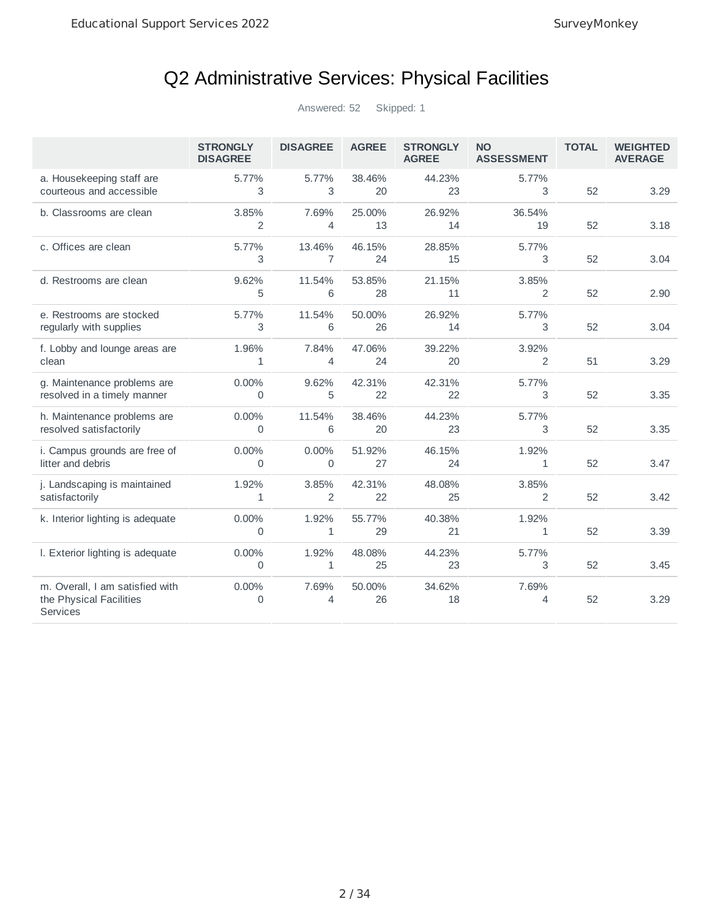# Q2 Administrative Services: Physical Facilities

|                                                                        | <b>STRONGLY</b><br><b>DISAGREE</b> | <b>DISAGREE</b>          | <b>AGREE</b> | <b>STRONGLY</b><br><b>AGREE</b> | <b>NO</b><br><b>ASSESSMENT</b> | <b>TOTAL</b> | <b>WEIGHTED</b><br><b>AVERAGE</b> |
|------------------------------------------------------------------------|------------------------------------|--------------------------|--------------|---------------------------------|--------------------------------|--------------|-----------------------------------|
| a. Housekeeping staff are<br>courteous and accessible                  | 5.77%<br>3                         | 5.77%<br>3               | 38.46%<br>20 | 44.23%<br>23                    | 5.77%<br>3                     | 52           | 3.29                              |
| b. Classrooms are clean                                                | 3.85%<br>2                         | 7.69%<br>4               | 25.00%<br>13 | 26.92%<br>14                    | 36.54%<br>19                   | 52           | 3.18                              |
| c. Offices are clean                                                   | 5.77%<br>3                         | 13.46%<br>$\overline{7}$ | 46.15%<br>24 | 28.85%<br>15                    | 5.77%<br>3                     | 52           | 3.04                              |
| d. Restrooms are clean                                                 | 9.62%<br>5                         | 11.54%<br>6              | 53.85%<br>28 | 21.15%<br>11                    | 3.85%<br>2                     | 52           | 2.90                              |
| e. Restrooms are stocked<br>regularly with supplies                    | 5.77%<br>3                         | 11.54%<br>6              | 50.00%<br>26 | 26.92%<br>14                    | 5.77%<br>3                     | 52           | 3.04                              |
| f. Lobby and lounge areas are<br>clean                                 | 1.96%<br>1                         | 7.84%<br>4               | 47.06%<br>24 | 39.22%<br>20                    | 3.92%<br>2                     | 51           | 3.29                              |
| g. Maintenance problems are<br>resolved in a timely manner             | 0.00%<br>$\Omega$                  | 9.62%<br>5               | 42.31%<br>22 | 42.31%<br>22                    | 5.77%<br>3                     | 52           | 3.35                              |
| h. Maintenance problems are<br>resolved satisfactorily                 | $0.00\%$<br>$\Omega$               | 11.54%<br>6              | 38.46%<br>20 | 44.23%<br>23                    | 5.77%<br>3                     | 52           | 3.35                              |
| i. Campus grounds are free of<br>litter and debris                     | $0.00\%$<br>$\mathbf 0$            | 0.00%<br>0               | 51.92%<br>27 | 46.15%<br>24                    | 1.92%<br>$\mathbf{1}$          | 52           | 3.47                              |
| j. Landscaping is maintained<br>satisfactorily                         | 1.92%<br>1                         | 3.85%<br>2               | 42.31%<br>22 | 48.08%<br>25                    | 3.85%<br>2                     | 52           | 3.42                              |
| k. Interior lighting is adequate                                       | 0.00%<br>$\Omega$                  | 1.92%<br>1               | 55.77%<br>29 | 40.38%<br>21                    | 1.92%<br>$\mathbf{1}$          | 52           | 3.39                              |
| I. Exterior lighting is adequate                                       | $0.00\%$<br>$\mathbf 0$            | 1.92%<br>$\mathbf{1}$    | 48.08%<br>25 | 44.23%<br>23                    | 5.77%<br>3                     | 52           | 3.45                              |
| m. Overall, I am satisfied with<br>the Physical Facilities<br>Services | 0.00%<br>0                         | 7.69%<br>4               | 50.00%<br>26 | 34.62%<br>18                    | 7.69%<br>4                     | 52           | 3.29                              |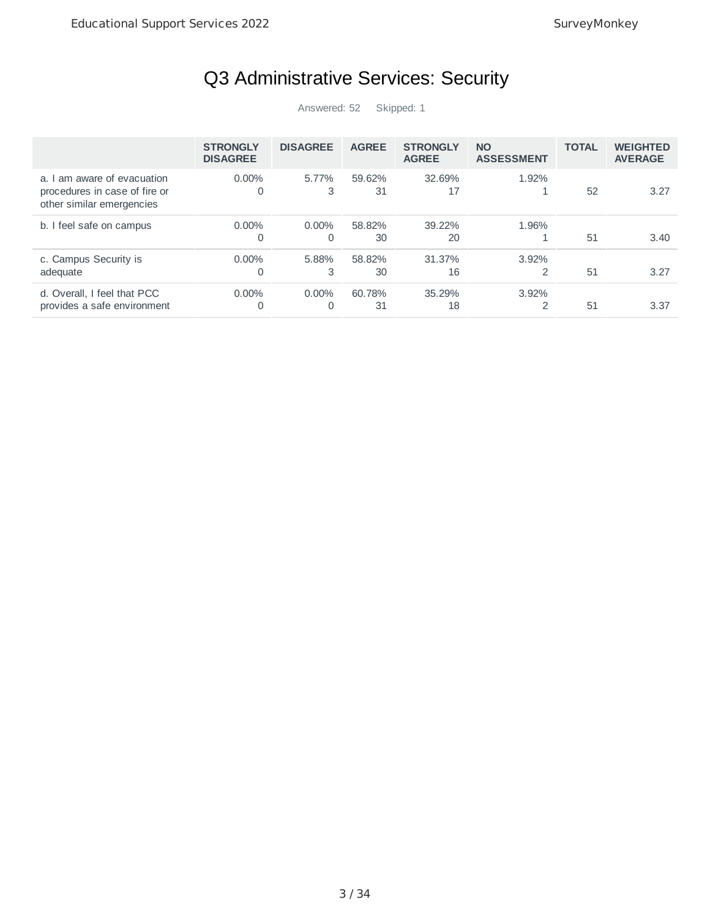# Q3 Administrative Services: Security

|                                                                                           | <b>STRONGLY</b><br><b>DISAGREE</b> | <b>DISAGREE</b>      | <b>AGREE</b> | <b>STRONGLY</b><br><b>AGREE</b> | <b>NO</b><br><b>ASSESSMENT</b> | <b>TOTAL</b> | <b>WEIGHTED</b><br><b>AVERAGE</b> |
|-------------------------------------------------------------------------------------------|------------------------------------|----------------------|--------------|---------------------------------|--------------------------------|--------------|-----------------------------------|
| a. I am aware of evacuation<br>procedures in case of fire or<br>other similar emergencies | $0.00\%$<br>0                      | 5.77%<br>3           | 59.62%<br>31 | 32.69%<br>17                    | 1.92%                          | 52           | 3.27                              |
| b. I feel safe on campus                                                                  | $0.00\%$<br>0                      | $0.00\%$<br>$\Omega$ | 58.82%<br>30 | 39.22%<br>20                    | 1.96%                          | 51           | 3.40                              |
| c. Campus Security is<br>adequate                                                         | $0.00\%$<br>0                      | 5.88%<br>3           | 58.82%<br>30 | 31.37%<br>16                    | $3.92\%$<br>2                  | 51           | 3.27                              |
| d. Overall, I feel that PCC<br>provides a safe environment                                | $0.00\%$<br>0                      | $0.00\%$<br>$\Omega$ | 60.78%<br>31 | 35.29%<br>18                    | $3.92\%$<br>2                  | 51           | 3.37                              |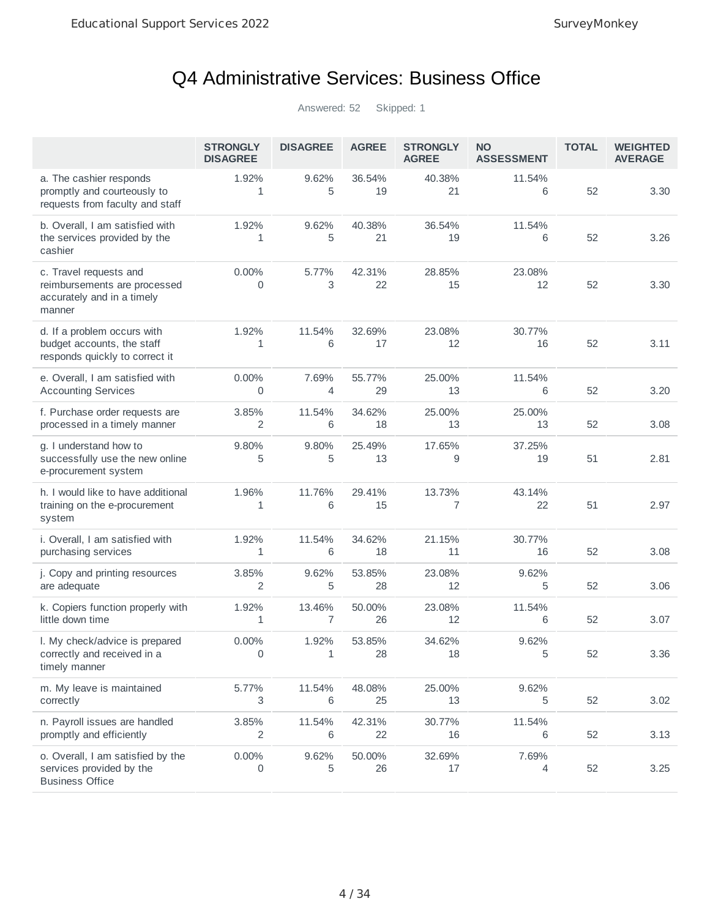# Q4 Administrative Services: Business Office

|                                                                                                | <b>STRONGLY</b><br><b>DISAGREE</b> | <b>DISAGREE</b> | <b>AGREE</b> | <b>STRONGLY</b><br><b>AGREE</b> | <b>NO</b><br><b>ASSESSMENT</b> | <b>TOTAL</b> | <b>WEIGHTED</b><br><b>AVERAGE</b> |
|------------------------------------------------------------------------------------------------|------------------------------------|-----------------|--------------|---------------------------------|--------------------------------|--------------|-----------------------------------|
| a. The cashier responds<br>promptly and courteously to<br>requests from faculty and staff      | 1.92%<br>1                         | 9.62%<br>5      | 36.54%<br>19 | 40.38%<br>21                    | 11.54%<br>6                    | 52           | 3.30                              |
| b. Overall, I am satisfied with<br>the services provided by the<br>cashier                     | 1.92%<br>1                         | 9.62%<br>5      | 40.38%<br>21 | 36.54%<br>19                    | 11.54%<br>6                    | 52           | 3.26                              |
| c. Travel requests and<br>reimbursements are processed<br>accurately and in a timely<br>manner | $0.00\%$<br>$\Omega$               | 5.77%<br>3      | 42.31%<br>22 | 28.85%<br>15                    | 23.08%<br>12                   | 52           | 3.30                              |
| d. If a problem occurs with<br>budget accounts, the staff<br>responds quickly to correct it    | 1.92%<br>1                         | 11.54%<br>6     | 32.69%<br>17 | 23.08%<br>12                    | 30.77%<br>16                   | 52           | 3.11                              |
| e. Overall, I am satisfied with<br><b>Accounting Services</b>                                  | 0.00%<br>0                         | 7.69%<br>4      | 55.77%<br>29 | 25.00%<br>13                    | 11.54%<br>6                    | 52           | 3.20                              |
| f. Purchase order requests are<br>processed in a timely manner                                 | 3.85%<br>2                         | 11.54%<br>6     | 34.62%<br>18 | 25.00%<br>13                    | 25.00%<br>13                   | 52           | 3.08                              |
| g. I understand how to<br>successfully use the new online<br>e-procurement system              | 9.80%<br>5                         | 9.80%<br>5      | 25.49%<br>13 | 17.65%<br>9                     | 37.25%<br>19                   | 51           | 2.81                              |
| h. I would like to have additional<br>training on the e-procurement<br>system                  | 1.96%<br>1                         | 11.76%<br>6     | 29.41%<br>15 | 13.73%<br>7                     | 43.14%<br>22                   | 51           | 2.97                              |
| i. Overall, I am satisfied with<br>purchasing services                                         | 1.92%<br>1                         | 11.54%<br>6     | 34.62%<br>18 | 21.15%<br>11                    | 30.77%<br>16                   | 52           | 3.08                              |
| j. Copy and printing resources<br>are adequate                                                 | 3.85%<br>2                         | 9.62%<br>5      | 53.85%<br>28 | 23.08%<br>12                    | 9.62%<br>5                     | 52           | 3.06                              |
| k. Copiers function properly with<br>little down time                                          | 1.92%<br>1                         | 13.46%<br>7     | 50.00%<br>26 | 23.08%<br>12                    | 11.54%<br>6                    | 52           | 3.07                              |
| I. My check/advice is prepared<br>correctly and received in a<br>timely manner                 | 0.00%<br>0                         | 1.92%<br>1      | 53.85%<br>28 | 34.62%<br>18                    | 9.62%<br>5                     | 52           | 3.36                              |
| m. My leave is maintained<br>correctly                                                         | 5.77%<br>3                         | 11.54%<br>6     | 48.08%<br>25 | 25.00%<br>13                    | 9.62%<br>5                     | 52           | 3.02                              |
| n. Payroll issues are handled<br>promptly and efficiently                                      | 3.85%<br>2                         | 11.54%<br>6     | 42.31%<br>22 | 30.77%<br>16                    | 11.54%<br>6                    | 52           | 3.13                              |
| o. Overall, I am satisfied by the<br>services provided by the<br><b>Business Office</b>        | 0.00%<br>0                         | 9.62%<br>5      | 50.00%<br>26 | 32.69%<br>17                    | 7.69%<br>4                     | 52           | 3.25                              |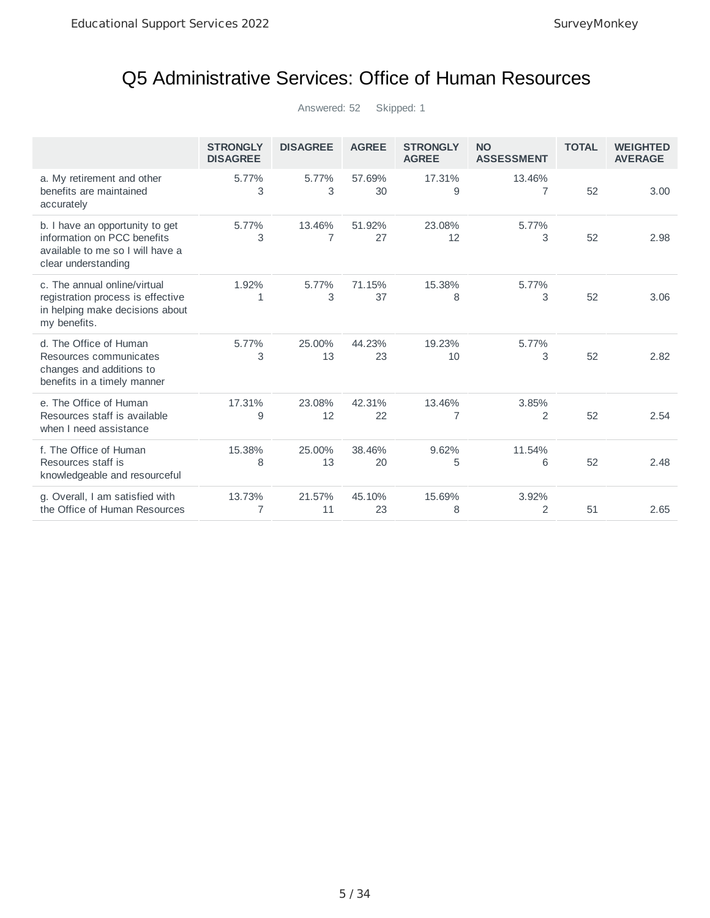# Q5 Administrative Services: Office of Human Resources

|                                                                                                                           | <b>STRONGLY</b><br><b>DISAGREE</b> | <b>DISAGREE</b> | <b>AGREE</b> | <b>STRONGLY</b><br><b>AGREE</b> | <b>NO</b><br><b>ASSESSMENT</b> | <b>TOTAL</b> | <b>WEIGHTED</b><br><b>AVERAGE</b> |
|---------------------------------------------------------------------------------------------------------------------------|------------------------------------|-----------------|--------------|---------------------------------|--------------------------------|--------------|-----------------------------------|
| a. My retirement and other<br>benefits are maintained<br>accurately                                                       | 5.77%<br>3                         | 5.77%<br>3      | 57.69%<br>30 | 17.31%<br>9                     | 13.46%<br>7                    | 52           | 3.00                              |
| b. I have an opportunity to get<br>information on PCC benefits<br>available to me so I will have a<br>clear understanding | 5.77%<br>3                         | 13.46%<br>7     | 51.92%<br>27 | 23.08%<br>12                    | 5.77%<br>3                     | 52           | 2.98                              |
| c. The annual online/virtual<br>registration process is effective<br>in helping make decisions about<br>my benefits.      | 1.92%<br>1                         | 5.77%<br>3      | 71.15%<br>37 | 15.38%<br>8                     | 5.77%<br>3                     | 52           | 3.06                              |
| d. The Office of Human<br>Resources communicates<br>changes and additions to<br>benefits in a timely manner               | 5.77%<br>3                         | 25.00%<br>13    | 44.23%<br>23 | 19.23%<br>10                    | 5.77%<br>3                     | 52           | 2.82                              |
| e. The Office of Human<br>Resources staff is available<br>when I need assistance                                          | 17.31%<br>9                        | 23.08%<br>12    | 42.31%<br>22 | 13.46%<br>7                     | 3.85%<br>$\overline{2}$        | 52           | 2.54                              |
| f. The Office of Human<br>Resources staff is<br>knowledgeable and resourceful                                             | 15.38%<br>8                        | 25.00%<br>13    | 38.46%<br>20 | 9.62%<br>5                      | 11.54%<br>6                    | 52           | 2.48                              |
| g. Overall, I am satisfied with<br>the Office of Human Resources                                                          | 13.73%<br>7                        | 21.57%<br>11    | 45.10%<br>23 | 15.69%<br>8                     | 3.92%<br>$\overline{2}$        | 51           | 2.65                              |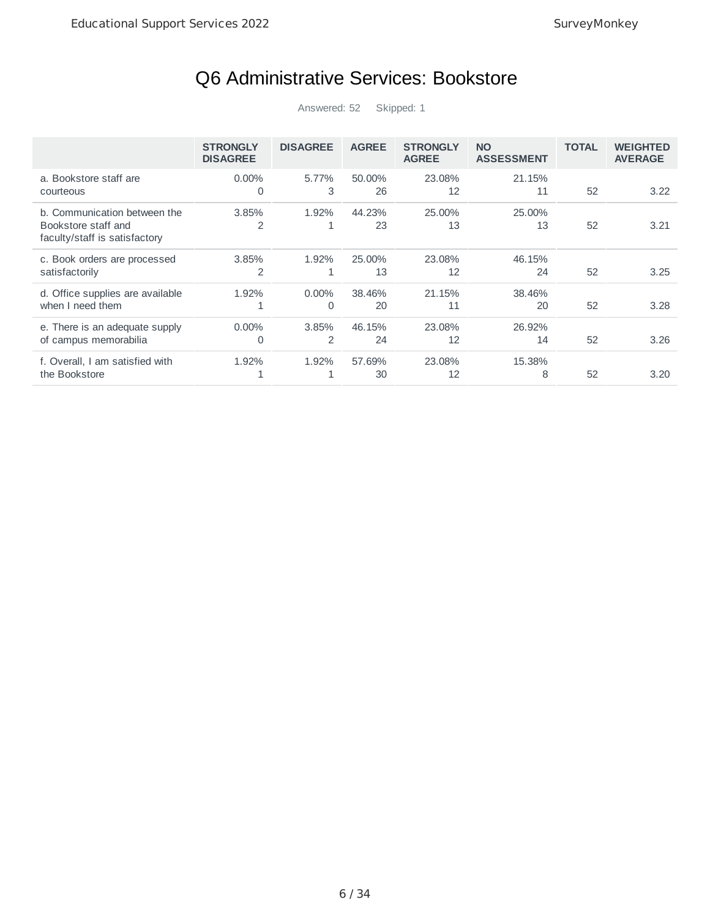# Q6 Administrative Services: Bookstore

|                                                                                      | <b>STRONGLY</b><br><b>DISAGREE</b> | <b>DISAGREE</b>      | <b>AGREE</b> | <b>STRONGLY</b><br><b>AGREE</b> | <b>NO</b><br><b>ASSESSMENT</b> | <b>TOTAL</b> | <b>WEIGHTED</b><br><b>AVERAGE</b> |
|--------------------------------------------------------------------------------------|------------------------------------|----------------------|--------------|---------------------------------|--------------------------------|--------------|-----------------------------------|
| a. Bookstore staff are<br>courteous                                                  | $0.00\%$<br>$\mathbf 0$            | 5.77%<br>3           | 50.00%<br>26 | 23.08%<br>12                    | 21.15%<br>11                   | 52           | 3.22                              |
| b. Communication between the<br>Bookstore staff and<br>faculty/staff is satisfactory | 3.85%<br>$\overline{2}$            | 1.92%<br>1           | 44.23%<br>23 | 25.00%<br>13                    | 25.00%<br>13                   | 52           | 3.21                              |
| c. Book orders are processed<br>satisfactorily                                       | 3.85%<br>$\overline{2}$            | 1.92%<br>1           | 25,00%<br>13 | 23.08%<br>12                    | 46.15%<br>24                   | 52           | 3.25                              |
| d. Office supplies are available<br>when I need them                                 | 1.92%<br>1                         | $0.00\%$<br>$\Omega$ | 38.46%<br>20 | 21.15%<br>11                    | 38.46%<br>20                   | 52           | 3.28                              |
| e. There is an adequate supply<br>of campus memorabilia                              | $0.00\%$<br>$\mathbf 0$            | 3.85%<br>2           | 46.15%<br>24 | 23.08%<br>12                    | 26.92%<br>14                   | 52           | 3.26                              |
| f. Overall, I am satisfied with<br>the Bookstore                                     | 1.92%                              | 1.92%<br>1           | 57.69%<br>30 | 23.08%<br>12                    | 15.38%<br>8                    | 52           | 3.20                              |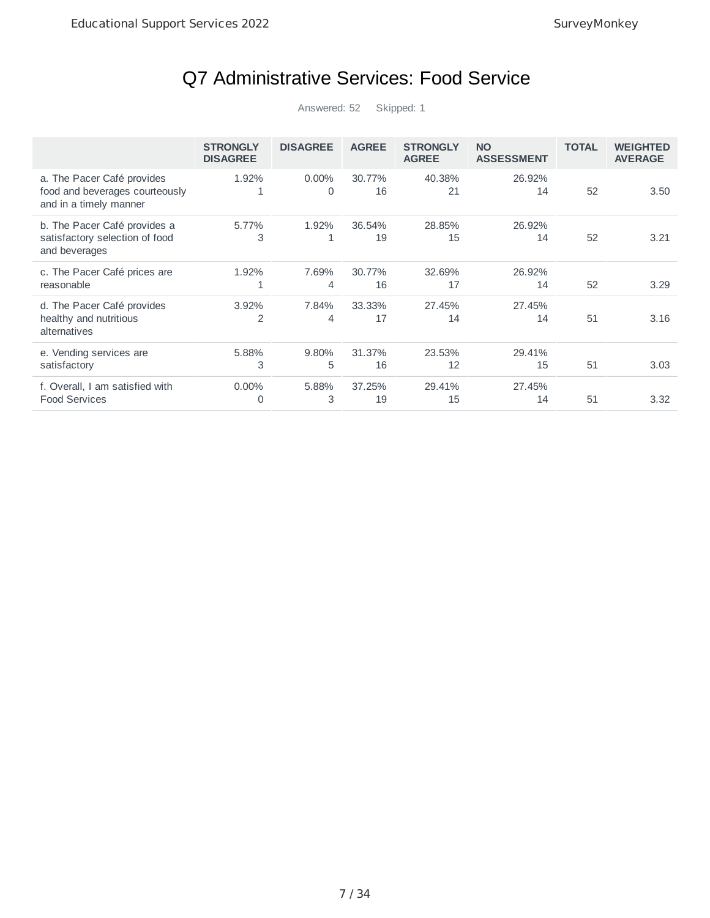# Q7 Administrative Services: Food Service

|                                                                                        | <b>STRONGLY</b><br><b>DISAGREE</b> | <b>DISAGREE</b>       | <b>AGREE</b> | <b>STRONGLY</b><br><b>AGREE</b> | <b>NO</b><br><b>ASSESSMENT</b> | <b>TOTAL</b> | <b>WEIGHTED</b><br><b>AVERAGE</b> |
|----------------------------------------------------------------------------------------|------------------------------------|-----------------------|--------------|---------------------------------|--------------------------------|--------------|-----------------------------------|
| a. The Pacer Café provides<br>food and beverages courteously<br>and in a timely manner | 1.92%                              | $0.00\%$<br>$\Omega$  | 30.77%<br>16 | 40.38%<br>21                    | 26.92%<br>14                   | 52           | 3.50                              |
| b. The Pacer Café provides a<br>satisfactory selection of food<br>and beverages        | 5.77%<br>3                         | 1.92%<br>$\mathbf{1}$ | 36.54%<br>19 | 28.85%<br>15                    | 26.92%<br>14                   | 52           | 3.21                              |
| c. The Pacer Café prices are<br>reasonable                                             | 1.92%                              | 7.69%<br>4            | 30.77%<br>16 | 32.69%<br>17                    | 26.92%<br>14                   | 52           | 3.29                              |
| d. The Pacer Café provides<br>healthy and nutritious<br>alternatives                   | 3.92%<br>$\overline{2}$            | 7.84%<br>4            | 33.33%<br>17 | 27.45%<br>14                    | 27.45%<br>14                   | 51           | 3.16                              |
| e. Vending services are<br>satisfactory                                                | 5.88%<br>3                         | 9.80%<br>5            | 31.37%<br>16 | 23.53%<br>12                    | 29.41%<br>15                   | 51           | 3.03                              |
| f. Overall, I am satisfied with<br><b>Food Services</b>                                | $0.00\%$<br>0                      | 5.88%<br>3            | 37.25%<br>19 | 29.41%<br>15                    | 27.45%<br>14                   | 51           | 3.32                              |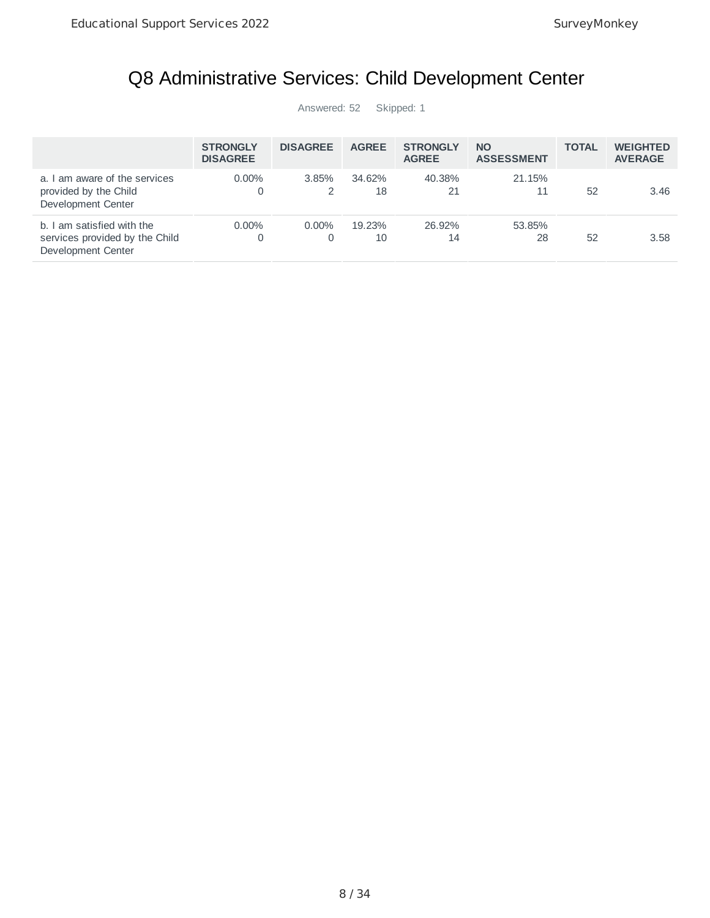# Q8 Administrative Services: Child Development Center

|                                                                                    | <b>STRONGLY</b><br><b>DISAGREE</b> | <b>DISAGREE</b> | <b>AGREE</b> | <b>STRONGLY</b><br><b>AGREE</b> | <b>NO</b><br><b>ASSESSMENT</b> | <b>TOTAL</b> | <b>WEIGHTED</b><br><b>AVERAGE</b> |
|------------------------------------------------------------------------------------|------------------------------------|-----------------|--------------|---------------------------------|--------------------------------|--------------|-----------------------------------|
| a. I am aware of the services<br>provided by the Child<br>Development Center       | $0.00\%$<br>0                      | 3.85%<br>2      | 34.62%<br>18 | 40.38%<br>21                    | 21.15%                         | 52           | 3.46                              |
| b. I am satisfied with the<br>services provided by the Child<br>Development Center | $0.00\%$<br>0                      | $0.00\%$        | 19.23%<br>10 | 26.92%<br>14                    | 53.85%<br>28                   | 52           | 3.58                              |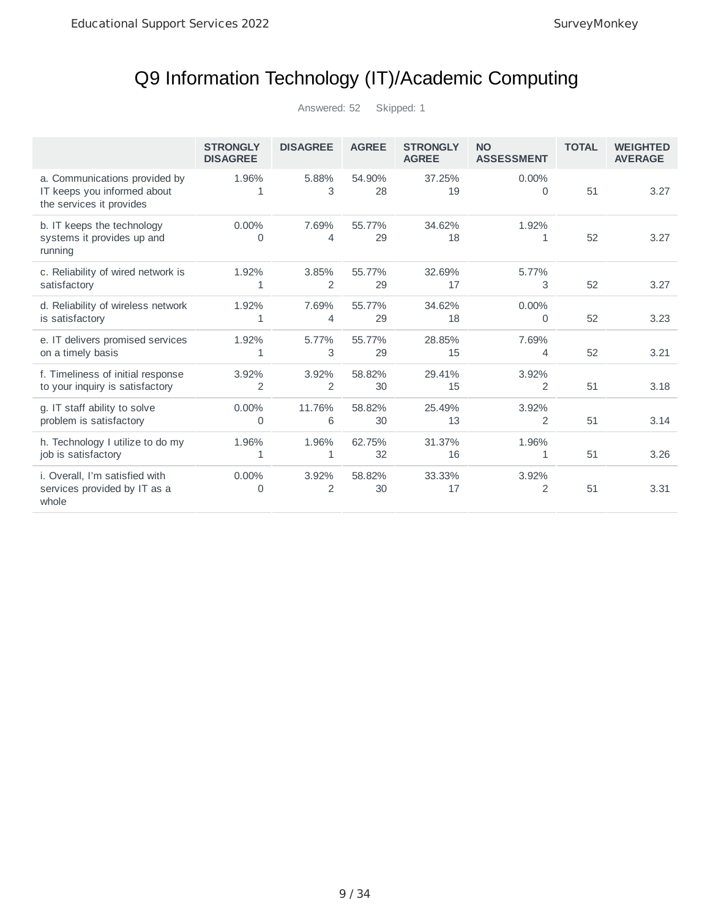# Q9 Information Technology (IT)/Academic Computing

|                                                                                          | <b>STRONGLY</b><br><b>DISAGREE</b> | <b>DISAGREE</b>         | <b>AGREE</b> | <b>STRONGLY</b><br><b>AGREE</b> | <b>NO</b><br><b>ASSESSMENT</b> | <b>TOTAL</b> | <b>WEIGHTED</b><br><b>AVERAGE</b> |
|------------------------------------------------------------------------------------------|------------------------------------|-------------------------|--------------|---------------------------------|--------------------------------|--------------|-----------------------------------|
| a. Communications provided by<br>IT keeps you informed about<br>the services it provides | 1.96%<br>1                         | 5.88%<br>3              | 54.90%<br>28 | 37.25%<br>19                    | $0.00\%$<br>$\Omega$           | 51           | 3.27                              |
| b. IT keeps the technology<br>systems it provides up and<br>running                      | $0.00\%$<br>$\mathbf 0$            | 7.69%<br>$\overline{4}$ | 55.77%<br>29 | 34.62%<br>18                    | 1.92%<br>1                     | 52           | 3.27                              |
| c. Reliability of wired network is<br>satisfactory                                       | 1.92%<br>1                         | 3.85%<br>$\overline{2}$ | 55.77%<br>29 | 32.69%<br>17                    | 5.77%<br>3                     | 52           | 3.27                              |
| d. Reliability of wireless network<br>is satisfactory                                    | 1.92%<br>1                         | 7.69%<br>4              | 55.77%<br>29 | 34.62%<br>18                    | $0.00\%$<br>$\Omega$           | 52           | 3.23                              |
| e. IT delivers promised services<br>on a timely basis                                    | 1.92%<br>1                         | 5.77%<br>3              | 55.77%<br>29 | 28.85%<br>15                    | 7.69%<br>4                     | 52           | 3.21                              |
| f. Timeliness of initial response<br>to your inquiry is satisfactory                     | 3.92%<br>2                         | 3.92%<br>2              | 58.82%<br>30 | 29.41%<br>15                    | 3.92%<br>2                     | 51           | 3.18                              |
| g. IT staff ability to solve<br>problem is satisfactory                                  | $0.00\%$<br>$\mathbf 0$            | 11.76%<br>6             | 58.82%<br>30 | 25.49%<br>13                    | 3.92%<br>$\overline{2}$        | 51           | 3.14                              |
| h. Technology I utilize to do my<br>job is satisfactory                                  | 1.96%<br>1                         | 1.96%<br>1              | 62.75%<br>32 | 31.37%<br>16                    | 1.96%<br>1                     | 51           | 3.26                              |
| i. Overall, I'm satisfied with<br>services provided by IT as a<br>whole                  | $0.00\%$<br>$\mathbf 0$            | 3.92%<br>2              | 58.82%<br>30 | 33.33%<br>17                    | 3.92%<br>$\overline{2}$        | 51           | 3.31                              |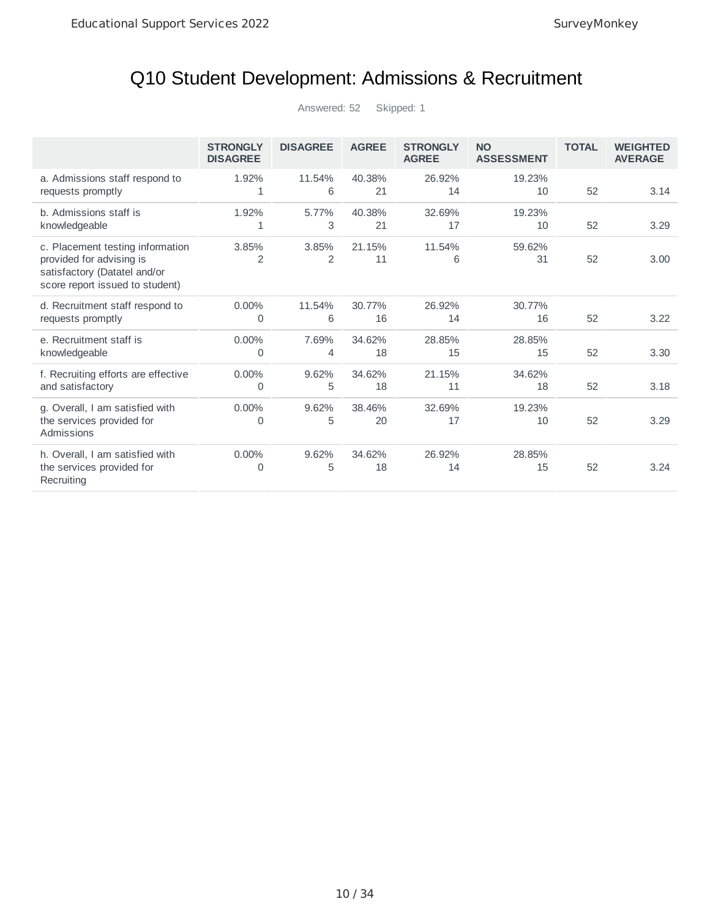# Q10 Student Development: Admissions & Recruitment

|                                                                                                                                 | <b>STRONGLY</b><br><b>DISAGREE</b> | <b>DISAGREE</b> | <b>AGREE</b> | <b>STRONGLY</b><br><b>AGREE</b> | <b>NO</b><br><b>ASSESSMENT</b> | <b>TOTAL</b> | <b>WEIGHTED</b><br><b>AVERAGE</b> |
|---------------------------------------------------------------------------------------------------------------------------------|------------------------------------|-----------------|--------------|---------------------------------|--------------------------------|--------------|-----------------------------------|
| a. Admissions staff respond to<br>requests promptly                                                                             | 1.92%<br>1                         | 11.54%<br>6     | 40.38%<br>21 | 26.92%<br>14                    | 19.23%<br>10                   | 52           | 3.14                              |
| b. Admissions staff is<br>knowledgeable                                                                                         | 1.92%<br>1                         | 5.77%<br>3      | 40.38%<br>21 | 32.69%<br>17                    | 19.23%<br>10                   | 52           | 3.29                              |
| c. Placement testing information<br>provided for advising is<br>satisfactory (Datatel and/or<br>score report issued to student) | 3.85%<br>2                         | 3.85%<br>2      | 21.15%<br>11 | 11.54%<br>6                     | 59.62%<br>31                   | 52           | 3.00                              |
| d. Recruitment staff respond to<br>requests promptly                                                                            | $0.00\%$<br>0                      | 11.54%<br>6     | 30.77%<br>16 | 26.92%<br>14                    | 30.77%<br>16                   | 52           | 3.22                              |
| e. Recruitment staff is<br>knowledgeable                                                                                        | $0.00\%$<br>0                      | 7.69%<br>4      | 34.62%<br>18 | 28.85%<br>15                    | 28.85%<br>15                   | 52           | 3.30                              |
| f. Recruiting efforts are effective<br>and satisfactory                                                                         | $0.00\%$<br>0                      | 9.62%<br>5      | 34.62%<br>18 | 21.15%<br>11                    | 34.62%<br>18                   | 52           | 3.18                              |
| g. Overall, I am satisfied with<br>the services provided for<br>Admissions                                                      | $0.00\%$<br>0                      | 9.62%<br>5      | 38.46%<br>20 | 32.69%<br>17                    | 19.23%<br>10                   | 52           | 3.29                              |
| h. Overall, I am satisfied with<br>the services provided for<br>Recruiting                                                      | $0.00\%$<br>0                      | 9.62%<br>5      | 34.62%<br>18 | 26.92%<br>14                    | 28.85%<br>15                   | 52           | 3.24                              |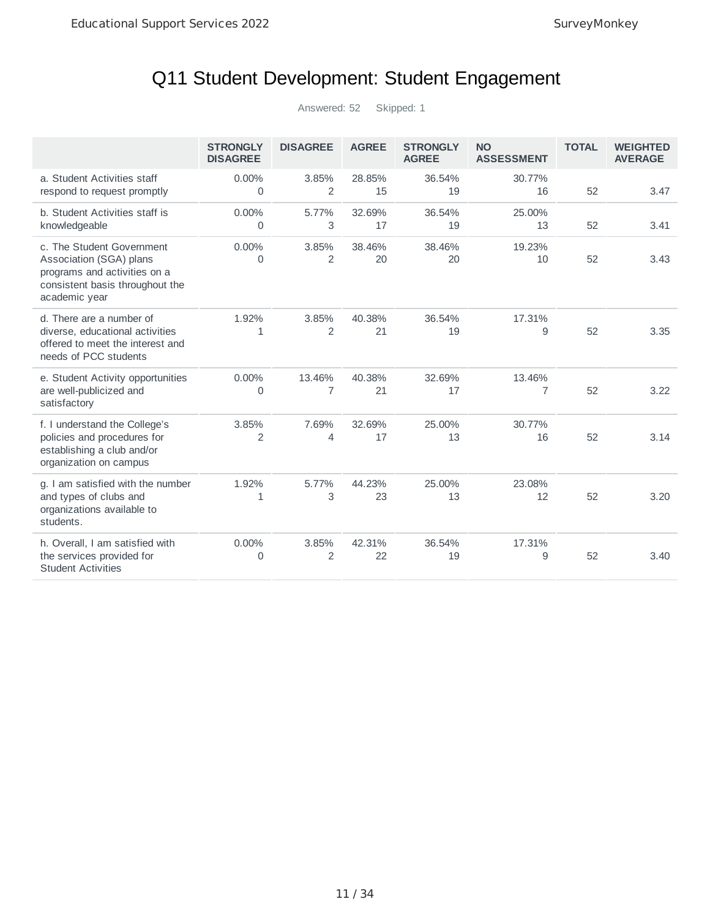# Q11 Student Development: Student Engagement

|                                                                                                                                          | <b>STRONGLY</b><br><b>DISAGREE</b> | <b>DISAGREE</b>          | <b>AGREE</b> | <b>STRONGLY</b><br><b>AGREE</b> | <b>NO</b><br><b>ASSESSMENT</b> | <b>TOTAL</b> | <b>WEIGHTED</b><br><b>AVERAGE</b> |
|------------------------------------------------------------------------------------------------------------------------------------------|------------------------------------|--------------------------|--------------|---------------------------------|--------------------------------|--------------|-----------------------------------|
| a. Student Activities staff<br>respond to request promptly                                                                               | $0.00\%$<br>0                      | 3.85%<br>2               | 28.85%<br>15 | 36.54%<br>19                    | 30.77%<br>16                   | 52           | 3.47                              |
| b. Student Activities staff is<br>knowledgeable                                                                                          | $0.00\%$<br>0                      | 5.77%<br>3               | 32.69%<br>17 | 36.54%<br>19                    | 25.00%<br>13                   | 52           | 3.41                              |
| c. The Student Government<br>Association (SGA) plans<br>programs and activities on a<br>consistent basis throughout the<br>academic year | 0.00%<br>0                         | 3.85%<br>2               | 38.46%<br>20 | 38.46%<br>20                    | 19.23%<br>10                   | 52           | 3.43                              |
| d. There are a number of<br>diverse, educational activities<br>offered to meet the interest and<br>needs of PCC students                 | 1.92%<br>1                         | 3.85%<br>2               | 40.38%<br>21 | 36.54%<br>19                    | 17.31%<br>9                    | 52           | 3.35                              |
| e. Student Activity opportunities<br>are well-publicized and<br>satisfactory                                                             | $0.00\%$<br>0                      | 13.46%<br>$\overline{7}$ | 40.38%<br>21 | 32.69%<br>17                    | 13.46%<br>7                    | 52           | 3.22                              |
| f. I understand the College's<br>policies and procedures for<br>establishing a club and/or<br>organization on campus                     | 3.85%<br>2                         | 7.69%<br>4               | 32.69%<br>17 | 25.00%<br>13                    | 30.77%<br>16                   | 52           | 3.14                              |
| g. I am satisfied with the number<br>and types of clubs and<br>organizations available to<br>students.                                   | 1.92%<br>1                         | 5.77%<br>3               | 44.23%<br>23 | 25.00%<br>13                    | 23.08%<br>12                   | 52           | 3.20                              |
| h. Overall, I am satisfied with<br>the services provided for<br><b>Student Activities</b>                                                | $0.00\%$<br>0                      | 3.85%<br>2               | 42.31%<br>22 | 36.54%<br>19                    | 17.31%<br>9                    | 52           | 3.40                              |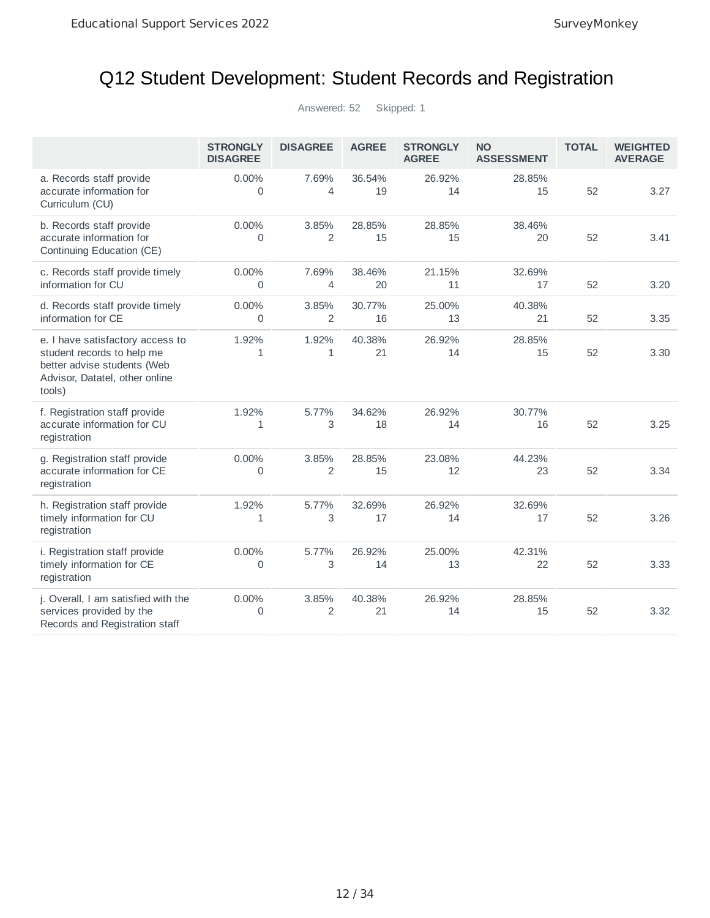# Q12 Student Development: Student Records and Registration

|                                                                                                                                           | <b>STRONGLY</b><br><b>DISAGREE</b> | <b>DISAGREE</b>         | <b>AGREE</b> | <b>STRONGLY</b><br><b>AGREE</b> | <b>NO</b><br><b>ASSESSMENT</b> | <b>TOTAL</b> | <b>WEIGHTED</b><br><b>AVERAGE</b> |
|-------------------------------------------------------------------------------------------------------------------------------------------|------------------------------------|-------------------------|--------------|---------------------------------|--------------------------------|--------------|-----------------------------------|
| a. Records staff provide<br>accurate information for<br>Curriculum (CU)                                                                   | 0.00%<br>$\Omega$                  | 7.69%<br>4              | 36.54%<br>19 | 26.92%<br>14                    | 28.85%<br>15                   | 52           | 3.27                              |
| b. Records staff provide<br>accurate information for<br>Continuing Education (CE)                                                         | 0.00%<br>0                         | 3.85%<br>2              | 28.85%<br>15 | 28.85%<br>15                    | 38.46%<br>20                   | 52           | 3.41                              |
| c. Records staff provide timely<br>information for CU                                                                                     | 0.00%<br>0                         | 7.69%<br>4              | 38.46%<br>20 | 21.15%<br>11                    | 32.69%<br>17                   | 52           | 3.20                              |
| d. Records staff provide timely<br>information for CE                                                                                     | 0.00%<br>0                         | 3.85%<br>2              | 30.77%<br>16 | 25.00%<br>13                    | 40.38%<br>21                   | 52           | 3.35                              |
| e. I have satisfactory access to<br>student records to help me<br>better advise students (Web<br>Advisor, Datatel, other online<br>tools) | 1.92%<br>$\mathbf{1}$              | 1.92%<br>$\mathbf{1}$   | 40.38%<br>21 | 26.92%<br>14                    | 28.85%<br>15                   | 52           | 3.30                              |
| f. Registration staff provide<br>accurate information for CU<br>registration                                                              | 1.92%<br>1                         | 5.77%<br>3              | 34.62%<br>18 | 26.92%<br>14                    | 30.77%<br>16                   | 52           | 3.25                              |
| g. Registration staff provide<br>accurate information for CE<br>registration                                                              | 0.00%<br>0                         | 3.85%<br>2              | 28.85%<br>15 | 23.08%<br>12                    | 44.23%<br>23                   | 52           | 3.34                              |
| h. Registration staff provide<br>timely information for CU<br>registration                                                                | 1.92%<br>1                         | 5.77%<br>3              | 32.69%<br>17 | 26.92%<br>14                    | 32.69%<br>17                   | 52           | 3.26                              |
| i. Registration staff provide<br>timely information for CE<br>registration                                                                | 0.00%<br>0                         | 5.77%<br>3              | 26.92%<br>14 | 25.00%<br>13                    | 42.31%<br>22                   | 52           | 3.33                              |
| j. Overall, I am satisfied with the<br>services provided by the<br>Records and Registration staff                                         | 0.00%<br>0                         | 3.85%<br>$\overline{2}$ | 40.38%<br>21 | 26.92%<br>14                    | 28.85%<br>15                   | 52           | 3.32                              |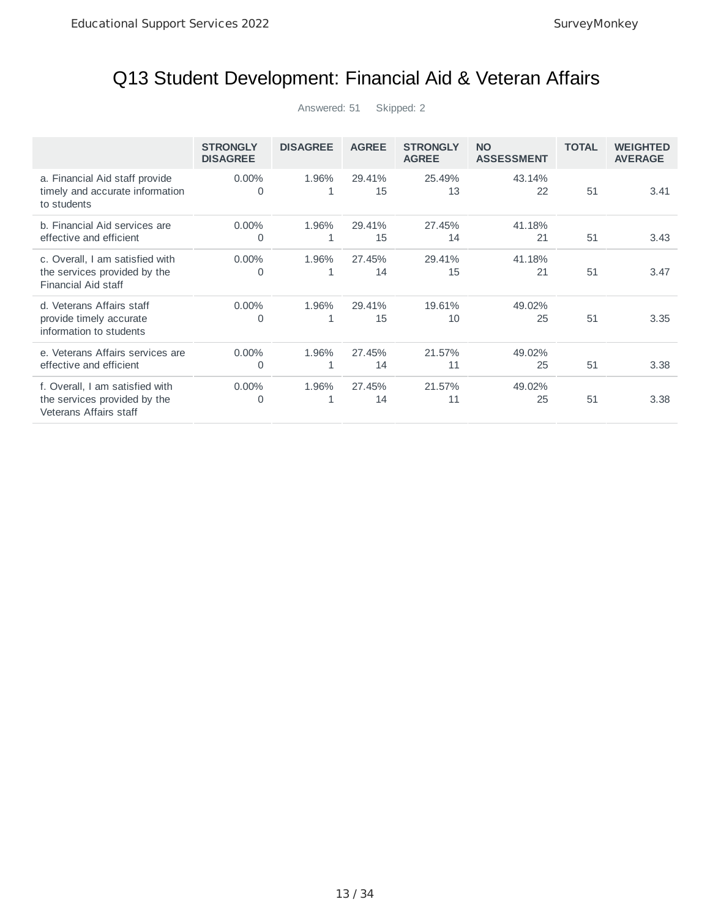### Q13 Student Development: Financial Aid & Veteran Affairs

|                                                                                           | <b>STRONGLY</b><br><b>DISAGREE</b> | <b>DISAGREE</b>       | <b>AGREE</b> | <b>STRONGLY</b><br><b>AGREE</b> | <b>NO</b><br><b>ASSESSMENT</b> | <b>TOTAL</b> | <b>WEIGHTED</b><br><b>AVERAGE</b> |
|-------------------------------------------------------------------------------------------|------------------------------------|-----------------------|--------------|---------------------------------|--------------------------------|--------------|-----------------------------------|
| a. Financial Aid staff provide<br>timely and accurate information<br>to students          | $0.00\%$<br>$\Omega$               | 1.96%<br>$\mathbf{1}$ | 29.41%<br>15 | 25.49%<br>13                    | 43.14%<br>22                   | 51           | 3.41                              |
| b. Financial Aid services are<br>effective and efficient                                  | $0.00\%$<br>$\mathbf 0$            | 1.96%                 | 29.41%<br>15 | 27.45%<br>14                    | 41.18%<br>21                   | 51           | 3.43                              |
| c. Overall, I am satisfied with<br>the services provided by the<br>Financial Aid staff    | $0.00\%$<br>0                      | 1.96%                 | 27.45%<br>14 | 29.41%<br>15                    | 41.18%<br>21                   | 51           | 3.47                              |
| d. Veterans Affairs staff<br>provide timely accurate<br>information to students           | $0.00\%$<br>0                      | 1.96%<br>1            | 29.41%<br>15 | 19.61%<br>10                    | 49.02%<br>25                   | 51           | 3.35                              |
| e. Veterans Affairs services are<br>effective and efficient                               | 0.00%<br>0                         | 1.96%                 | 27.45%<br>14 | 21.57%<br>11                    | 49.02%<br>25                   | 51           | 3.38                              |
| f. Overall, I am satisfied with<br>the services provided by the<br>Veterans Affairs staff | $0.00\%$<br>0                      | 1.96%<br>1            | 27.45%<br>14 | 21.57%<br>11                    | 49.02%<br>25                   | 51           | 3.38                              |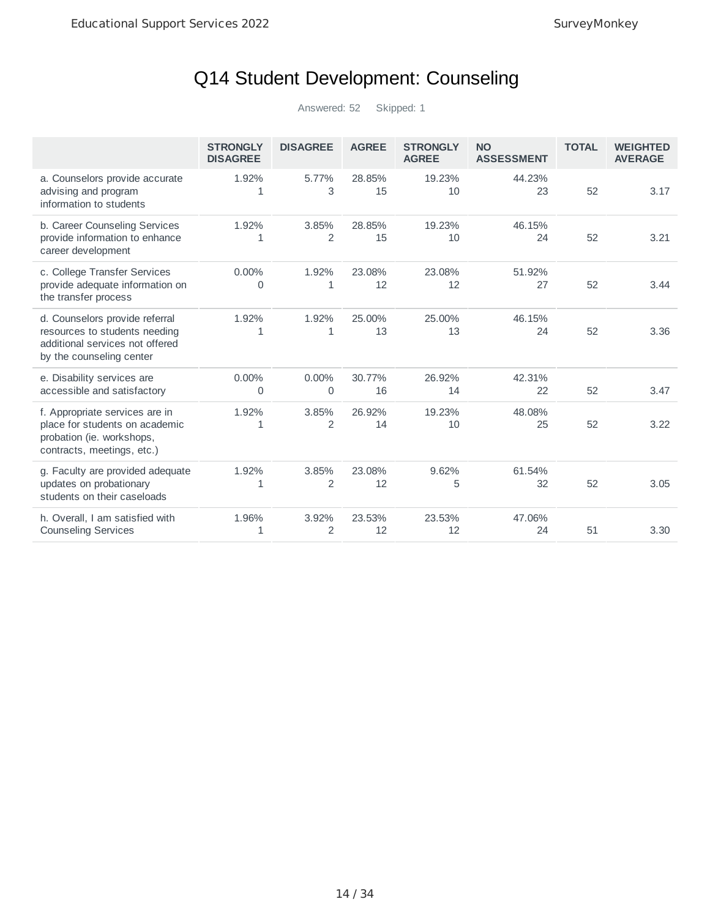# Q14 Student Development: Counseling

|                                                                                                                                | <b>STRONGLY</b><br><b>DISAGREE</b> | <b>DISAGREE</b>         | <b>AGREE</b> | <b>STRONGLY</b><br><b>AGREE</b> | <b>NO</b><br><b>ASSESSMENT</b> | <b>TOTAL</b> | <b>WEIGHTED</b><br><b>AVERAGE</b> |
|--------------------------------------------------------------------------------------------------------------------------------|------------------------------------|-------------------------|--------------|---------------------------------|--------------------------------|--------------|-----------------------------------|
| a. Counselors provide accurate<br>advising and program<br>information to students                                              | 1.92%<br>1                         | 5.77%<br>3              | 28.85%<br>15 | 19.23%<br>10                    | 44.23%<br>23                   | 52           | 3.17                              |
| b. Career Counseling Services<br>provide information to enhance<br>career development                                          | 1.92%<br>1                         | 3.85%<br>$\overline{2}$ | 28.85%<br>15 | 19.23%<br>10                    | 46.15%<br>24                   | 52           | 3.21                              |
| c. College Transfer Services<br>provide adequate information on<br>the transfer process                                        | 0.00%<br>0                         | 1.92%<br>1              | 23.08%<br>12 | 23.08%<br>12                    | 51.92%<br>27                   | 52           | 3.44                              |
| d. Counselors provide referral<br>resources to students needing<br>additional services not offered<br>by the counseling center | 1.92%<br>1                         | 1.92%<br>1              | 25.00%<br>13 | 25.00%<br>13                    | 46.15%<br>24                   | 52           | 3.36                              |
| e. Disability services are<br>accessible and satisfactory                                                                      | 0.00%<br>0                         | 0.00%<br>0              | 30.77%<br>16 | 26.92%<br>14                    | 42.31%<br>22                   | 52           | 3.47                              |
| f. Appropriate services are in<br>place for students on academic<br>probation (ie. workshops,<br>contracts, meetings, etc.)    | 1.92%<br>1                         | 3.85%<br>2              | 26.92%<br>14 | 19.23%<br>10                    | 48.08%<br>25                   | 52           | 3.22                              |
| g. Faculty are provided adequate<br>updates on probationary<br>students on their caseloads                                     | 1.92%<br>1                         | 3.85%<br>2              | 23.08%<br>12 | 9.62%<br>5                      | 61.54%<br>32                   | 52           | 3.05                              |
| h. Overall, I am satisfied with<br><b>Counseling Services</b>                                                                  | 1.96%<br>1                         | 3.92%<br>2              | 23.53%<br>12 | 23.53%<br>12                    | 47.06%<br>24                   | 51           | 3.30                              |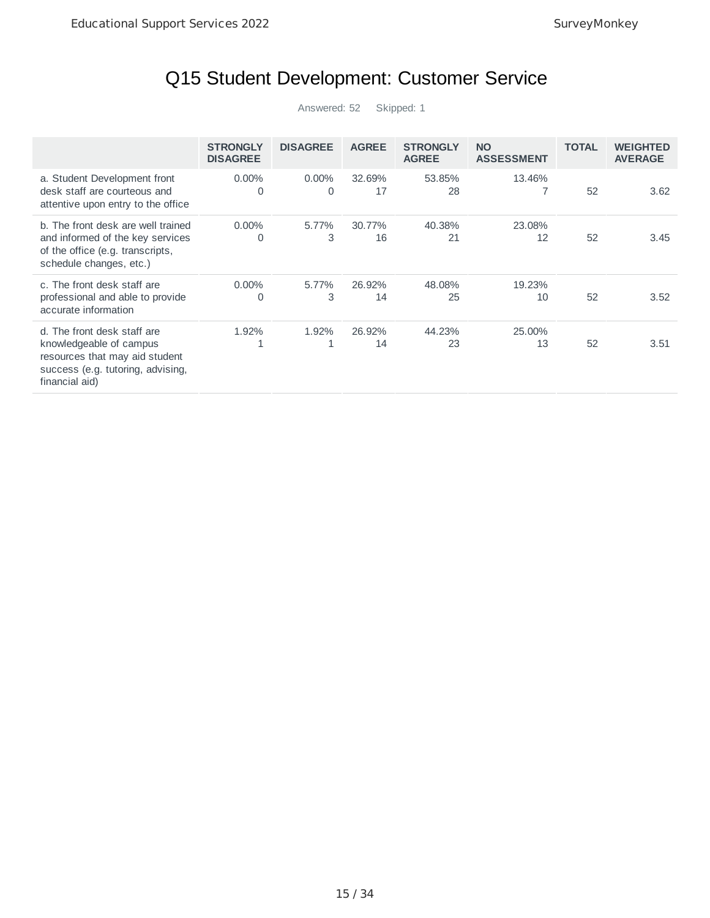# Q15 Student Development: Customer Service

|                                                                                                                                                 | <b>STRONGLY</b><br><b>DISAGREE</b> | <b>DISAGREE</b> | <b>AGREE</b> | <b>STRONGLY</b><br><b>AGREE</b> | <b>NO</b><br><b>ASSESSMENT</b> | <b>TOTAL</b> | <b>WEIGHTED</b><br><b>AVERAGE</b> |
|-------------------------------------------------------------------------------------------------------------------------------------------------|------------------------------------|-----------------|--------------|---------------------------------|--------------------------------|--------------|-----------------------------------|
| a. Student Development front<br>desk staff are courteous and<br>attentive upon entry to the office                                              | $0.00\%$<br>$\Omega$               | $0.00\%$<br>0   | 32.69%<br>17 | 53.85%<br>28                    | 13.46%<br>7                    | 52           | 3.62                              |
| b. The front desk are well trained<br>and informed of the key services<br>of the office (e.g. transcripts,<br>schedule changes, etc.)           | $0.00\%$<br>0                      | 5.77%<br>3      | 30.77%<br>16 | 40.38%<br>21                    | 23.08%<br>12                   | 52           | 3.45                              |
| c. The front desk staff are<br>professional and able to provide<br>accurate information                                                         | $0.00\%$<br>0                      | 5.77%<br>3      | 26.92%<br>14 | 48.08%<br>25                    | 19.23%<br>10                   | 52           | 3.52                              |
| d. The front desk staff are<br>knowledgeable of campus<br>resources that may aid student<br>success (e.g. tutoring, advising,<br>financial aid) | 1.92%                              | 1.92%<br>1      | 26.92%<br>14 | 44.23%<br>23                    | 25.00%<br>13                   | 52           | 3.51                              |
|                                                                                                                                                 |                                    |                 |              |                                 |                                |              |                                   |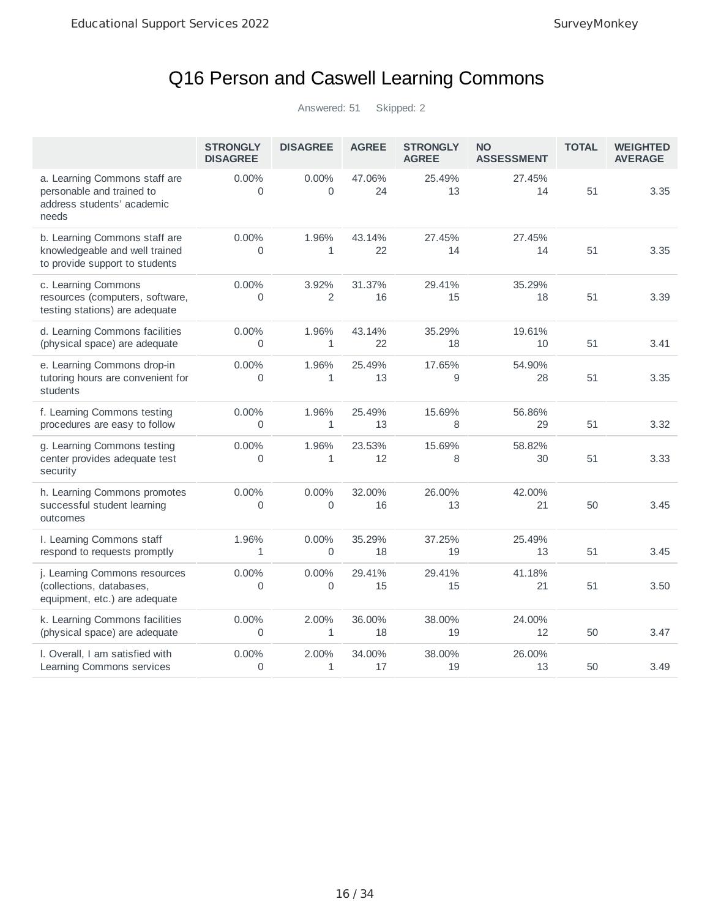# Q16 Person and Caswell Learning Commons

|                                                                                                   | <b>STRONGLY</b><br><b>DISAGREE</b> | <b>DISAGREE</b>      | <b>AGREE</b> | <b>STRONGLY</b><br><b>AGREE</b> | <b>NO</b><br><b>ASSESSMENT</b> | <b>TOTAL</b> | <b>WEIGHTED</b><br><b>AVERAGE</b> |
|---------------------------------------------------------------------------------------------------|------------------------------------|----------------------|--------------|---------------------------------|--------------------------------|--------------|-----------------------------------|
| a. Learning Commons staff are<br>personable and trained to<br>address students' academic<br>needs | 0.00%<br>$\overline{0}$            | 0.00%<br>$\mathbf 0$ | 47.06%<br>24 | 25.49%<br>13                    | 27.45%<br>14                   | 51           | 3.35                              |
| b. Learning Commons staff are<br>knowledgeable and well trained<br>to provide support to students | 0.00%<br>0                         | 1.96%<br>1           | 43.14%<br>22 | 27.45%<br>14                    | 27.45%<br>14                   | 51           | 3.35                              |
| c. Learning Commons<br>resources (computers, software,<br>testing stations) are adequate          | $0.00\%$<br>$\Omega$               | 3.92%<br>2           | 31.37%<br>16 | 29.41%<br>15                    | 35.29%<br>18                   | 51           | 3.39                              |
| d. Learning Commons facilities<br>(physical space) are adequate                                   | $0.00\%$<br>0                      | 1.96%<br>1           | 43.14%<br>22 | 35.29%<br>18                    | 19.61%<br>10                   | 51           | 3.41                              |
| e. Learning Commons drop-in<br>tutoring hours are convenient for<br>students                      | $0.00\%$<br>0                      | 1.96%<br>1           | 25.49%<br>13 | 17.65%<br>9                     | 54.90%<br>28                   | 51           | 3.35                              |
| f. Learning Commons testing<br>procedures are easy to follow                                      | 0.00%<br>0                         | 1.96%<br>$\mathbf 1$ | 25.49%<br>13 | 15.69%<br>8                     | 56.86%<br>29                   | 51           | 3.32                              |
| g. Learning Commons testing<br>center provides adequate test<br>security                          | 0.00%<br>0                         | 1.96%<br>1           | 23.53%<br>12 | 15.69%<br>8                     | 58.82%<br>30                   | 51           | 3.33                              |
| h. Learning Commons promotes<br>successful student learning<br>outcomes                           | 0.00%<br>0                         | 0.00%<br>0           | 32.00%<br>16 | 26.00%<br>13                    | 42.00%<br>21                   | 50           | 3.45                              |
| I. Learning Commons staff<br>respond to requests promptly                                         | 1.96%<br>$\mathbf{1}$              | 0.00%<br>$\mathbf 0$ | 35.29%<br>18 | 37.25%<br>19                    | 25.49%<br>13                   | 51           | 3.45                              |
| j. Learning Commons resources<br>(collections, databases,<br>equipment, etc.) are adequate        | 0.00%<br>0                         | 0.00%<br>$\mathbf 0$ | 29.41%<br>15 | 29.41%<br>15                    | 41.18%<br>21                   | 51           | 3.50                              |
| k. Learning Commons facilities<br>(physical space) are adequate                                   | 0.00%<br>0                         | 2.00%<br>1           | 36.00%<br>18 | 38.00%<br>19                    | 24.00%<br>12                   | 50           | 3.47                              |
| I. Overall, I am satisfied with<br>Learning Commons services                                      | 0.00%<br>0                         | 2.00%<br>1           | 34.00%<br>17 | 38.00%<br>19                    | 26.00%<br>13                   | 50           | 3.49                              |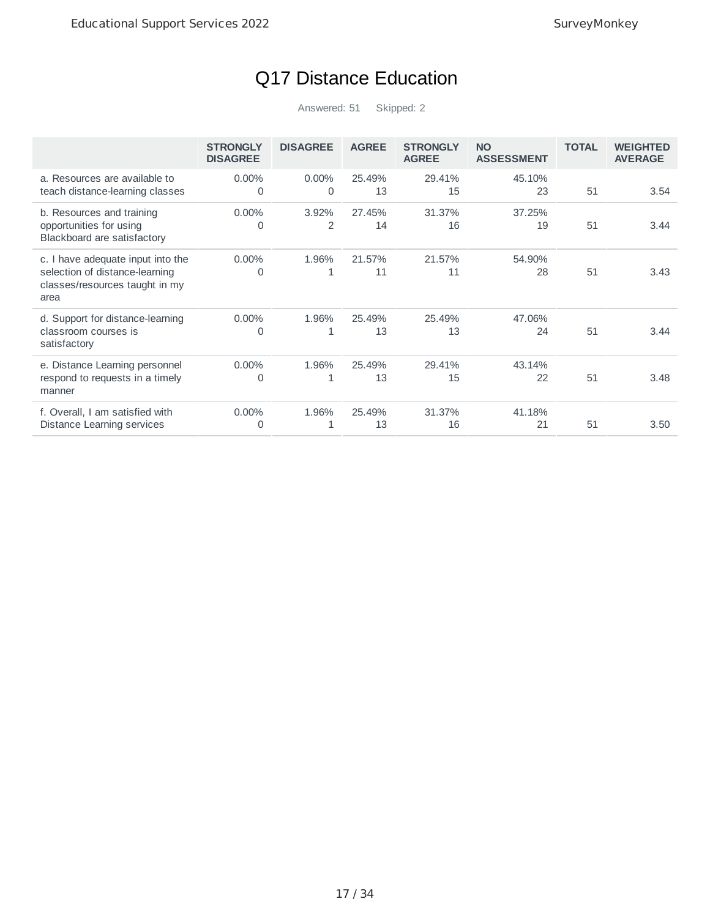# Q17 Distance Education

|                                                                                                               | <b>STRONGLY</b><br><b>DISAGREE</b> | <b>DISAGREE</b>       | <b>AGREE</b> | <b>STRONGLY</b><br><b>AGREE</b> | <b>NO</b><br><b>ASSESSMENT</b> | <b>TOTAL</b> | <b>WEIGHTED</b><br><b>AVERAGE</b> |
|---------------------------------------------------------------------------------------------------------------|------------------------------------|-----------------------|--------------|---------------------------------|--------------------------------|--------------|-----------------------------------|
| a. Resources are available to<br>teach distance-learning classes                                              | $0.00\%$<br>0                      | $0.00\%$<br>$\Omega$  | 25.49%<br>13 | 29.41%<br>15                    | 45.10%<br>23                   | 51           | 3.54                              |
| b. Resources and training<br>opportunities for using<br>Blackboard are satisfactory                           | $0.00\%$<br>0                      | 3.92%<br>2            | 27.45%<br>14 | 31.37%<br>16                    | 37.25%<br>19                   | 51           | 3.44                              |
| c. I have adequate input into the<br>selection of distance-learning<br>classes/resources taught in my<br>area | $0.00\%$<br>0                      | 1.96%<br>1            | 21.57%<br>11 | 21.57%<br>11                    | 54.90%<br>28                   | 51           | 3.43                              |
| d. Support for distance-learning<br>classroom courses is<br>satisfactory                                      | $0.00\%$<br>0                      | 1.96%<br>1            | 25.49%<br>13 | 25.49%<br>13                    | 47.06%<br>24                   | 51           | 3.44                              |
| e. Distance Learning personnel<br>respond to requests in a timely<br>manner                                   | $0.00\%$<br>0                      | 1.96%                 | 25.49%<br>13 | 29.41%<br>15                    | 43.14%<br>22                   | 51           | 3.48                              |
| f. Overall, I am satisfied with<br>Distance Learning services                                                 | $0.00\%$<br>0                      | 1.96%<br>$\mathbf{1}$ | 25.49%<br>13 | 31.37%<br>16                    | 41.18%<br>21                   | 51           | 3.50                              |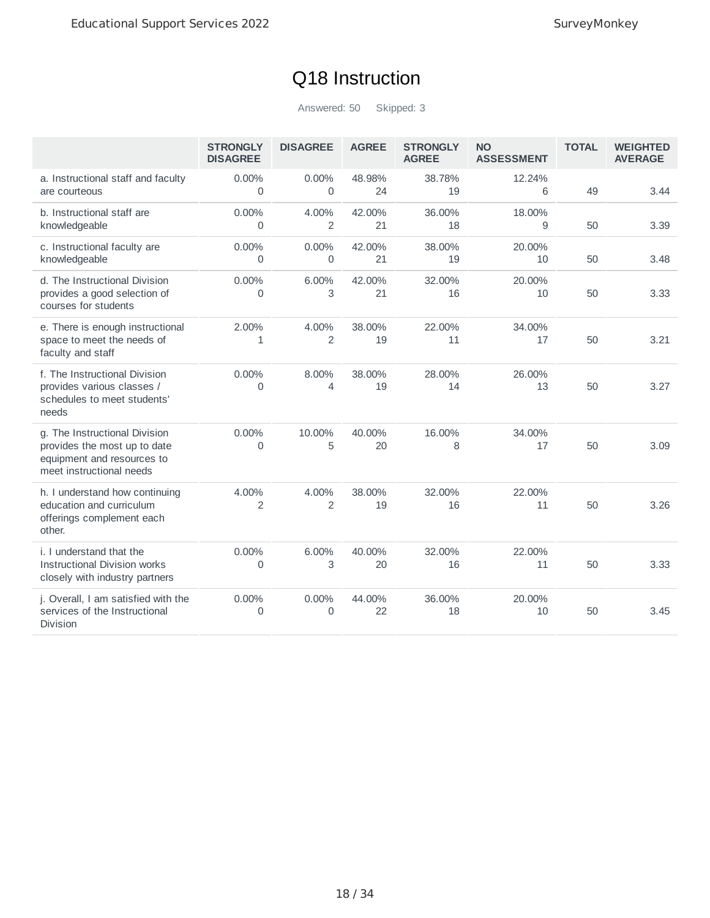# Q18 Instruction

|                                                                                                                         | <b>STRONGLY</b><br><b>DISAGREE</b> | <b>DISAGREE</b>         | <b>AGREE</b> | <b>STRONGLY</b><br><b>AGREE</b> | <b>NO</b><br><b>ASSESSMENT</b> | <b>TOTAL</b> | <b>WEIGHTED</b><br><b>AVERAGE</b> |
|-------------------------------------------------------------------------------------------------------------------------|------------------------------------|-------------------------|--------------|---------------------------------|--------------------------------|--------------|-----------------------------------|
| a. Instructional staff and faculty<br>are courteous                                                                     | 0.00%<br>0                         | 0.00%<br>0              | 48.98%<br>24 | 38.78%<br>19                    | 12.24%<br>6                    | 49           | 3.44                              |
| b. Instructional staff are<br>knowledgeable                                                                             | $0.00\%$<br>0                      | 4.00%<br>2              | 42.00%<br>21 | 36.00%<br>18                    | 18.00%<br>9                    | 50           | 3.39                              |
| c. Instructional faculty are<br>knowledgeable                                                                           | $0.00\%$<br>0                      | 0.00%<br>0              | 42.00%<br>21 | 38.00%<br>19                    | 20.00%<br>10                   | 50           | 3.48                              |
| d. The Instructional Division<br>provides a good selection of<br>courses for students                                   | $0.00\%$<br>0                      | 6.00%<br>3              | 42.00%<br>21 | 32.00%<br>16                    | 20.00%<br>10                   | 50           | 3.33                              |
| e. There is enough instructional<br>space to meet the needs of<br>faculty and staff                                     | 2.00%<br>1                         | 4.00%<br>$\overline{2}$ | 38.00%<br>19 | 22.00%<br>11                    | 34.00%<br>17                   | 50           | 3.21                              |
| f. The Instructional Division<br>provides various classes /<br>schedules to meet students'<br>needs                     | 0.00%<br>0                         | 8.00%<br>$\overline{4}$ | 38.00%<br>19 | 28.00%<br>14                    | 26.00%<br>13                   | 50           | 3.27                              |
| g. The Instructional Division<br>provides the most up to date<br>equipment and resources to<br>meet instructional needs | 0.00%<br>0                         | 10.00%<br>5             | 40.00%<br>20 | 16.00%<br>8                     | 34.00%<br>17                   | 50           | 3.09                              |
| h. I understand how continuing<br>education and curriculum<br>offerings complement each<br>other.                       | 4.00%<br>$\overline{c}$            | 4.00%<br>$\overline{2}$ | 38.00%<br>19 | 32.00%<br>16                    | 22.00%<br>11                   | 50           | 3.26                              |
| i. I understand that the<br><b>Instructional Division works</b><br>closely with industry partners                       | 0.00%<br>0                         | 6.00%<br>3              | 40.00%<br>20 | 32.00%<br>16                    | 22.00%<br>11                   | 50           | 3.33                              |
| j. Overall, I am satisfied with the<br>services of the Instructional<br><b>Division</b>                                 | 0.00%<br>0                         | 0.00%<br>0              | 44.00%<br>22 | 36.00%<br>18                    | 20.00%<br>10                   | 50           | 3.45                              |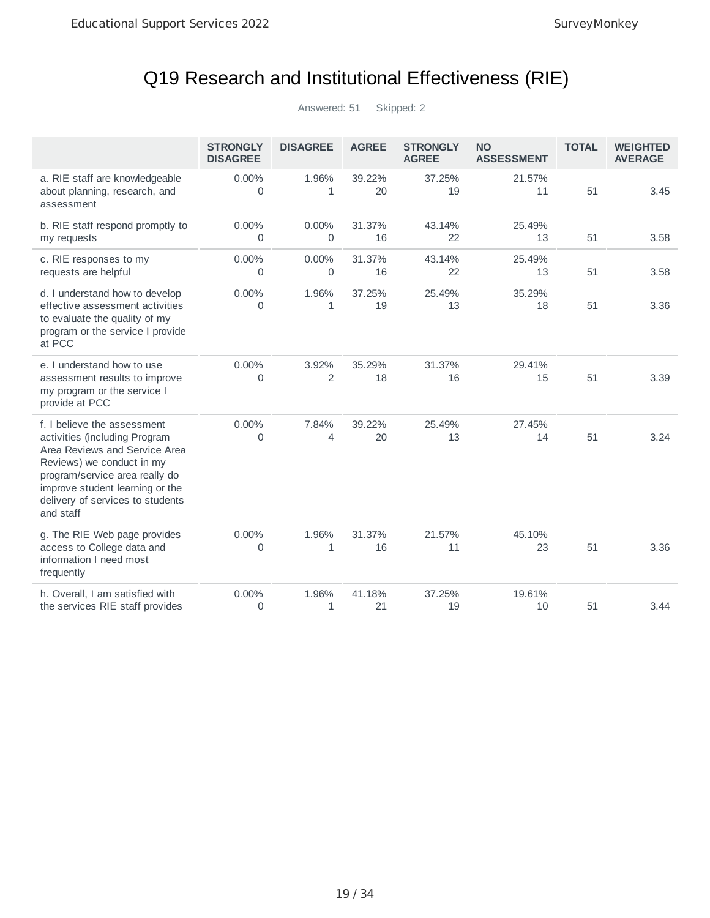# Q19 Research and Institutional Effectiveness (RIE)

|                                                                                                                                                                                                                                                  | <b>STRONGLY</b><br><b>DISAGREE</b> | <b>DISAGREE</b>         | <b>AGREE</b> | <b>STRONGLY</b><br><b>AGREE</b> | <b>NO</b><br><b>ASSESSMENT</b> | <b>TOTAL</b> | <b>WEIGHTED</b><br><b>AVERAGE</b> |
|--------------------------------------------------------------------------------------------------------------------------------------------------------------------------------------------------------------------------------------------------|------------------------------------|-------------------------|--------------|---------------------------------|--------------------------------|--------------|-----------------------------------|
| a. RIE staff are knowledgeable<br>about planning, research, and<br>assessment                                                                                                                                                                    | $0.00\%$<br>0                      | 1.96%<br>1              | 39.22%<br>20 | 37.25%<br>19                    | 21.57%<br>11                   | 51           | 3.45                              |
| b. RIE staff respond promptly to<br>my requests                                                                                                                                                                                                  | 0.00%<br>0                         | 0.00%<br>0              | 31.37%<br>16 | 43.14%<br>22                    | 25.49%<br>13                   | 51           | 3.58                              |
| c. RIE responses to my<br>requests are helpful                                                                                                                                                                                                   | $0.00\%$<br>0                      | $0.00\%$<br>$\mathbf 0$ | 31.37%<br>16 | 43.14%<br>22                    | 25.49%<br>13                   | 51           | 3.58                              |
| d. I understand how to develop<br>effective assessment activities<br>to evaluate the quality of my<br>program or the service I provide<br>at PCC                                                                                                 | 0.00%<br>0                         | 1.96%<br>$\mathbf{1}$   | 37.25%<br>19 | 25.49%<br>13                    | 35.29%<br>18                   | 51           | 3.36                              |
| e. I understand how to use<br>assessment results to improve<br>my program or the service I<br>provide at PCC                                                                                                                                     | 0.00%<br>0                         | 3.92%<br>$\overline{c}$ | 35.29%<br>18 | 31.37%<br>16                    | 29.41%<br>15                   | 51           | 3.39                              |
| f. I believe the assessment<br>activities (including Program<br>Area Reviews and Service Area<br>Reviews) we conduct in my<br>program/service area really do<br>improve student learning or the<br>delivery of services to students<br>and staff | 0.00%<br>0                         | 7.84%<br>4              | 39.22%<br>20 | 25.49%<br>13                    | 27.45%<br>14                   | 51           | 3.24                              |
| g. The RIE Web page provides<br>access to College data and<br>information I need most<br>frequently                                                                                                                                              | $0.00\%$<br>0                      | 1.96%<br>1              | 31.37%<br>16 | 21.57%<br>11                    | 45.10%<br>23                   | 51           | 3.36                              |
| h. Overall, I am satisfied with<br>the services RIE staff provides                                                                                                                                                                               | 0.00%<br>0                         | 1.96%<br>1              | 41.18%<br>21 | 37.25%<br>19                    | 19.61%<br>10                   | 51           | 3.44                              |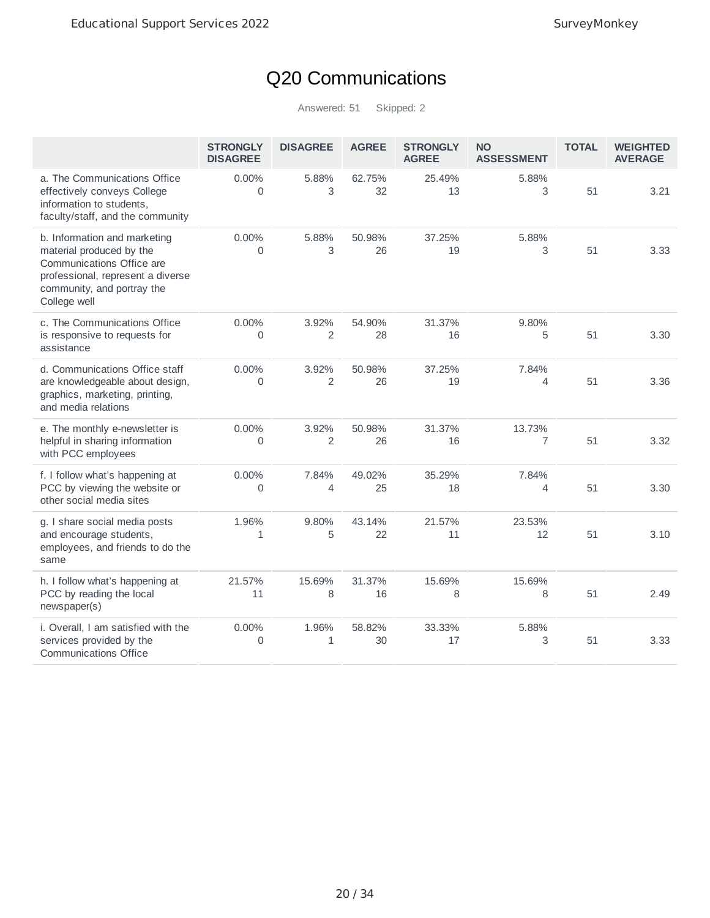# Q20 Communications

|                                                                                                                                                                          | <b>STRONGLY</b><br><b>DISAGREE</b> | <b>DISAGREE</b>         | <b>AGREE</b> | <b>STRONGLY</b><br><b>AGREE</b> | <b>NO</b><br><b>ASSESSMENT</b> | <b>TOTAL</b> | <b>WEIGHTED</b><br><b>AVERAGE</b> |
|--------------------------------------------------------------------------------------------------------------------------------------------------------------------------|------------------------------------|-------------------------|--------------|---------------------------------|--------------------------------|--------------|-----------------------------------|
| a. The Communications Office<br>effectively conveys College<br>information to students,<br>faculty/staff, and the community                                              | $0.00\%$<br>$\overline{0}$         | 5.88%<br>3              | 62.75%<br>32 | 25.49%<br>13                    | 5.88%<br>3                     | 51           | 3.21                              |
| b. Information and marketing<br>material produced by the<br>Communications Office are<br>professional, represent a diverse<br>community, and portray the<br>College well | $0.00\%$<br>0                      | 5.88%<br>3              | 50.98%<br>26 | 37.25%<br>19                    | 5.88%<br>3                     | 51           | 3.33                              |
| c. The Communications Office<br>is responsive to requests for<br>assistance                                                                                              | $0.00\%$<br>0                      | 3.92%<br>2              | 54.90%<br>28 | 31.37%<br>16                    | 9.80%<br>5                     | 51           | 3.30                              |
| d. Communications Office staff<br>are knowledgeable about design,<br>graphics, marketing, printing,<br>and media relations                                               | $0.00\%$<br>0                      | 3.92%<br>2              | 50.98%<br>26 | 37.25%<br>19                    | 7.84%<br>4                     | 51           | 3.36                              |
| e. The monthly e-newsletter is<br>helpful in sharing information<br>with PCC employees                                                                                   | $0.00\%$<br>0                      | 3.92%<br>$\overline{c}$ | 50.98%<br>26 | 31.37%<br>16                    | 13.73%<br>7                    | 51           | 3.32                              |
| f. I follow what's happening at<br>PCC by viewing the website or<br>other social media sites                                                                             | 0.00%<br>0                         | 7.84%<br>4              | 49.02%<br>25 | 35.29%<br>18                    | 7.84%<br>4                     | 51           | 3.30                              |
| g. I share social media posts<br>and encourage students,<br>employees, and friends to do the<br>same                                                                     | 1.96%<br>1                         | 9.80%<br>5              | 43.14%<br>22 | 21.57%<br>11                    | 23.53%<br>12                   | 51           | 3.10                              |
| h. I follow what's happening at<br>PCC by reading the local<br>newspaper(s)                                                                                              | 21.57%<br>11                       | 15.69%<br>8             | 31.37%<br>16 | 15.69%<br>8                     | 15.69%<br>8                    | 51           | 2.49                              |
| i. Overall, I am satisfied with the<br>services provided by the<br><b>Communications Office</b>                                                                          | 0.00%<br>0                         | 1.96%<br>1              | 58.82%<br>30 | 33.33%<br>17                    | 5.88%<br>3                     | 51           | 3.33                              |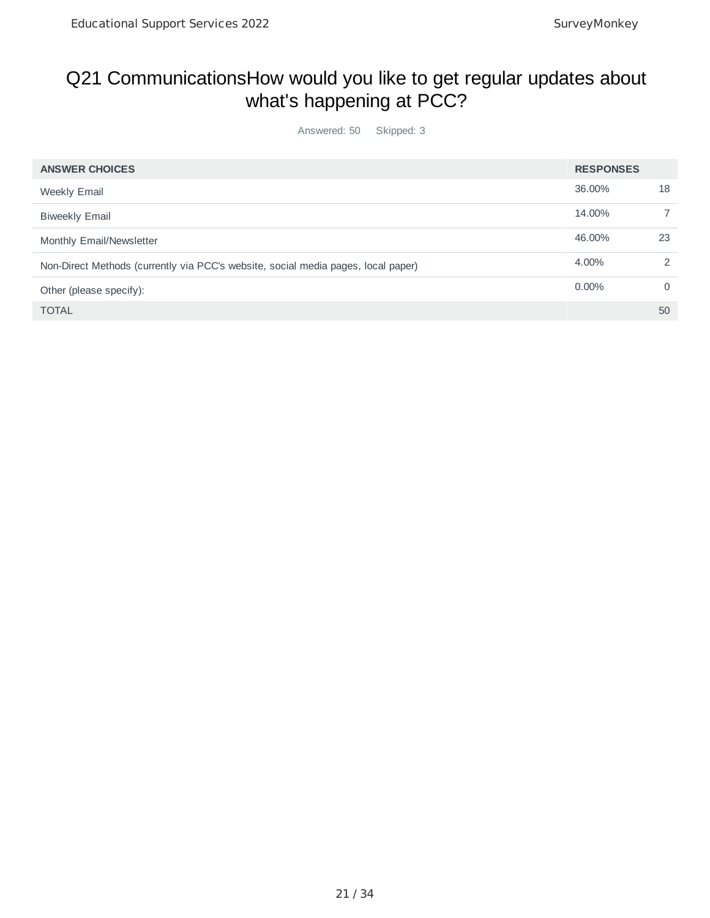### Q21 CommunicationsHow would you like to get regular updates about what's happening at PCC?

| <b>ANSWER CHOICES</b><br><b>RESPONSES</b>                                                  | 18            |
|--------------------------------------------------------------------------------------------|---------------|
|                                                                                            |               |
| 36,00%<br><b>Weekly Email</b>                                                              |               |
| 14.00%<br><b>Biweekly Email</b>                                                            |               |
| 46.00%<br>Monthly Email/Newsletter                                                         | 23            |
| 4.00%<br>Non-Direct Methods (currently via PCC's website, social media pages, local paper) | $\mathcal{P}$ |
| $0.00\%$<br>Other (please specify):                                                        | $\Omega$      |
| <b>TOTAL</b>                                                                               | 50            |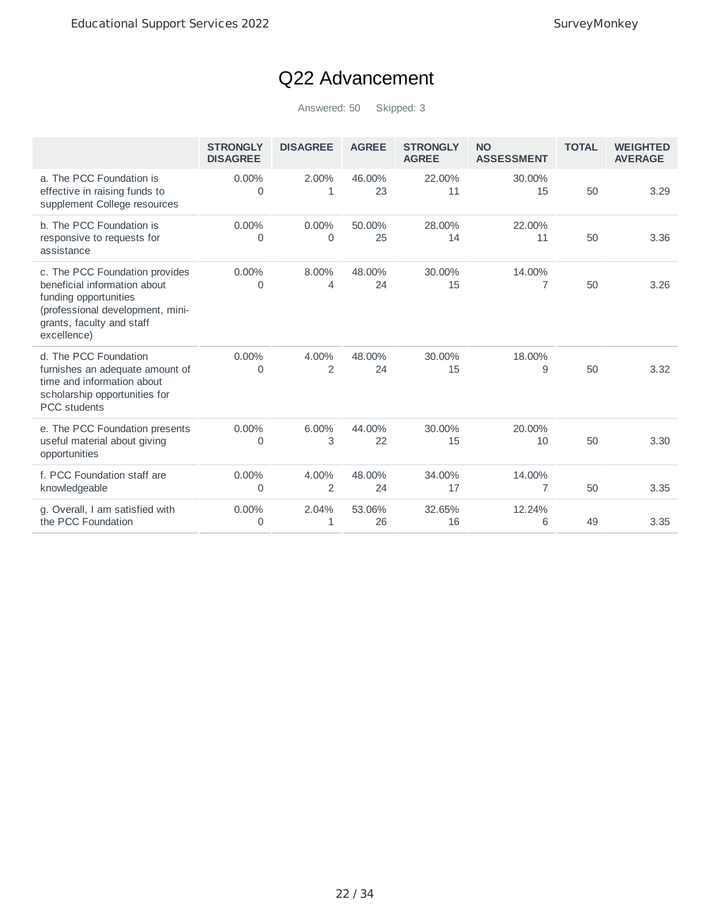# Q22 Advancement

|                                                                                                                                                                         | <b>STRONGLY</b><br><b>DISAGREE</b> | <b>DISAGREE</b>   | <b>AGREE</b> | <b>STRONGLY</b><br><b>AGREE</b> | <b>NO</b><br><b>ASSESSMENT</b> | <b>TOTAL</b> | <b>WEIGHTED</b><br><b>AVERAGE</b> |
|-------------------------------------------------------------------------------------------------------------------------------------------------------------------------|------------------------------------|-------------------|--------------|---------------------------------|--------------------------------|--------------|-----------------------------------|
| a. The PCC Foundation is<br>effective in raising funds to<br>supplement College resources                                                                               | $0.00\%$<br>0                      | 2.00%<br>1        | 46.00%<br>23 | 22.00%<br>11                    | 30.00%<br>15                   | 50           | 3.29                              |
| b. The PCC Foundation is<br>responsive to requests for<br>assistance                                                                                                    | $0.00\%$<br>0                      | 0.00%<br>$\Omega$ | 50.00%<br>25 | 28.00%<br>14                    | 22.00%<br>11                   | 50           | 3.36                              |
| c. The PCC Foundation provides<br>beneficial information about<br>funding opportunities<br>(professional development, mini-<br>grants, faculty and staff<br>excellence) | 0.00%<br>0                         | 8.00%<br>4        | 48.00%<br>24 | 30.00%<br>15                    | 14.00%<br>7                    | 50           | 3.26                              |
| d. The PCC Foundation<br>furnishes an adequate amount of<br>time and information about<br>scholarship opportunities for<br><b>PCC</b> students                          | $0.00\%$<br>0                      | 4.00%<br>2        | 48.00%<br>24 | 30.00%<br>15                    | 18.00%<br>9                    | 50           | 3.32                              |
| e. The PCC Foundation presents<br>useful material about giving<br>opportunities                                                                                         | 0.00%<br>0                         | 6.00%<br>3        | 44.00%<br>22 | 30.00%<br>15                    | 20.00%<br>10                   | 50           | 3.30                              |
| f. PCC Foundation staff are<br>knowledgeable                                                                                                                            | $0.00\%$<br>0                      | 4.00%<br>2        | 48.00%<br>24 | 34.00%<br>17                    | 14.00%<br>7                    | 50           | 3.35                              |
| g. Overall. I am satisfied with<br>the PCC Foundation                                                                                                                   | $0.00\%$<br>0                      | 2.04%<br>1        | 53.06%<br>26 | 32.65%<br>16                    | 12.24%<br>6                    | 49           | 3.35                              |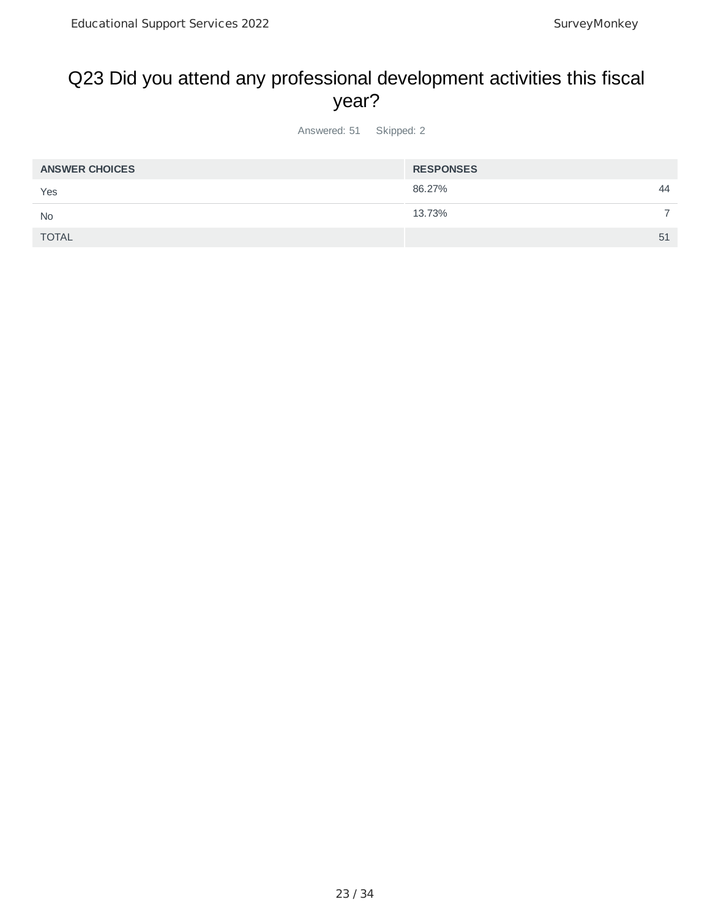#### Q23 Did you attend any professional development activities this fiscal year?

| <b>ANSWER CHOICES</b> | <b>RESPONSES</b> |    |
|-----------------------|------------------|----|
| Yes                   | 86.27%           | 44 |
| <b>No</b>             | 13.73%           |    |
| <b>TOTAL</b>          |                  | 51 |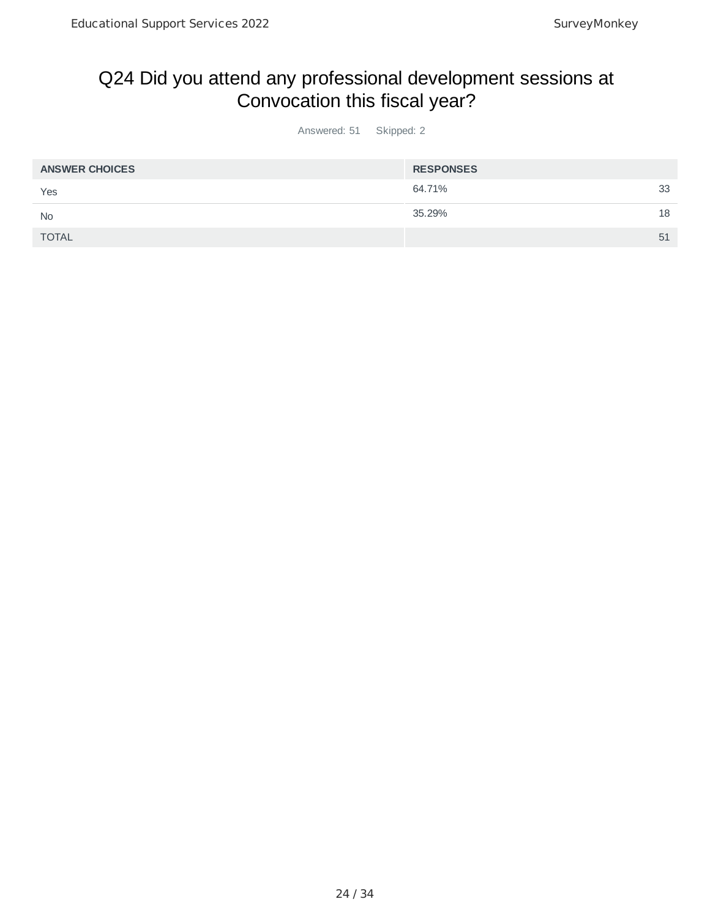### Q24 Did you attend any professional development sessions at Convocation this fiscal year?

| <b>ANSWER CHOICES</b> | <b>RESPONSES</b> |    |
|-----------------------|------------------|----|
| Yes                   | 64.71%           | 33 |
| <b>No</b>             | 35.29%           | 18 |
| <b>TOTAL</b>          |                  | 51 |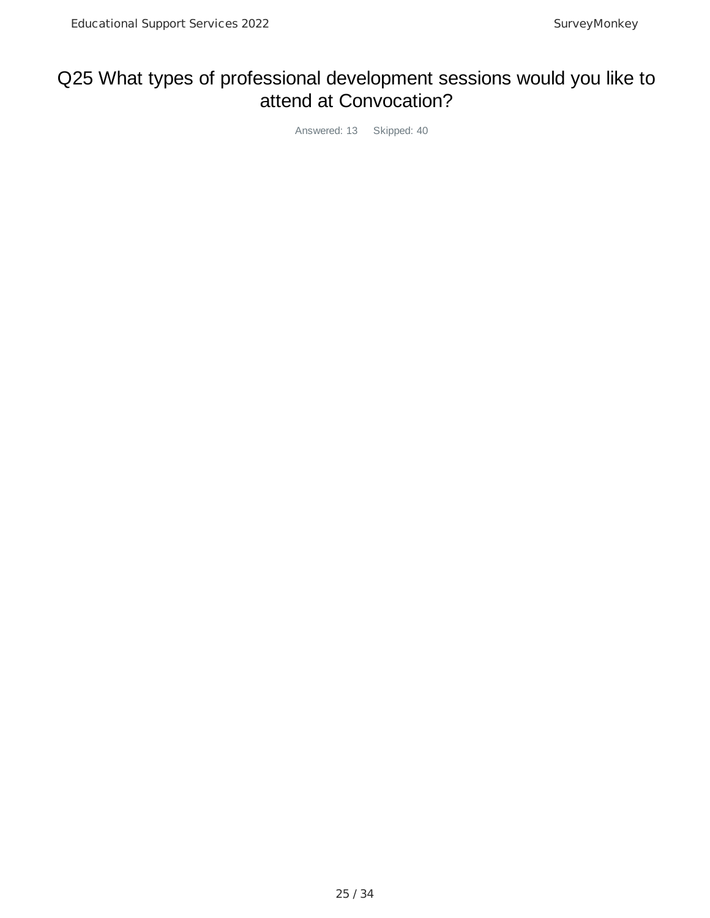### Q25 What types of professional development sessions would you like to attend at Convocation?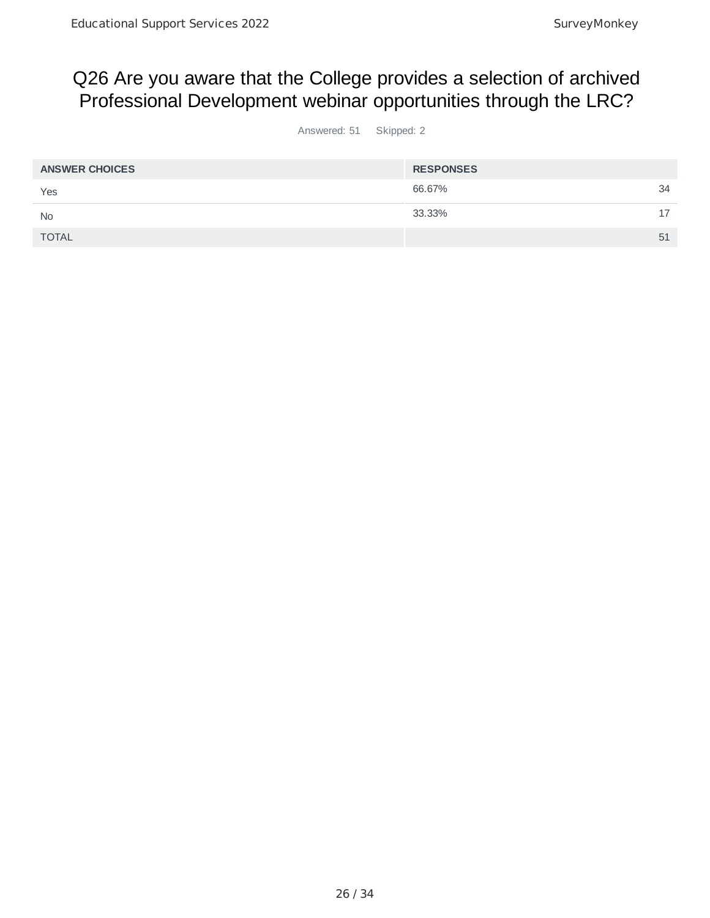#### Q26 Are you aware that the College provides a selection of archived Professional Development webinar opportunities through the LRC?

| <b>ANSWER CHOICES</b> | <b>RESPONSES</b> |    |
|-----------------------|------------------|----|
| Yes                   | 66.67%           | 34 |
| <b>No</b>             | 33.33%           |    |
| <b>TOTAL</b>          |                  | 51 |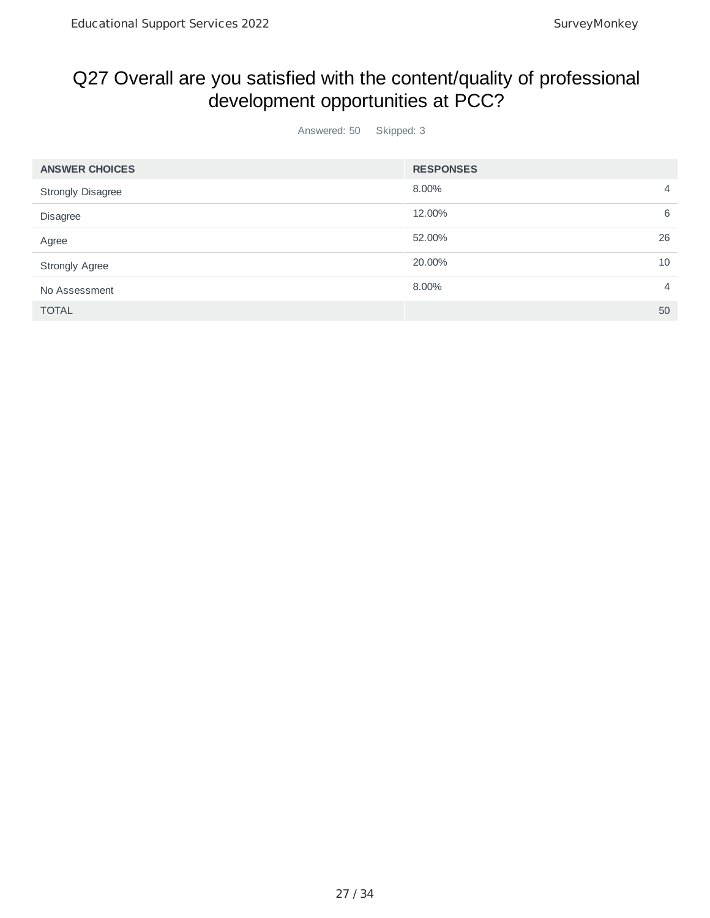#### Q27 Overall are you satisfied with the content/quality of professional development opportunities at PCC?

| <b>ANSWER CHOICES</b> | <b>RESPONSES</b> |    |
|-----------------------|------------------|----|
| Strongly Disagree     | 8.00%            | 4  |
| Disagree              | 12.00%           | 6  |
| Agree                 | 52.00%           | 26 |
| Strongly Agree        | 20.00%           | 10 |
| No Assessment         | 8.00%            | 4  |
| <b>TOTAL</b>          |                  | 50 |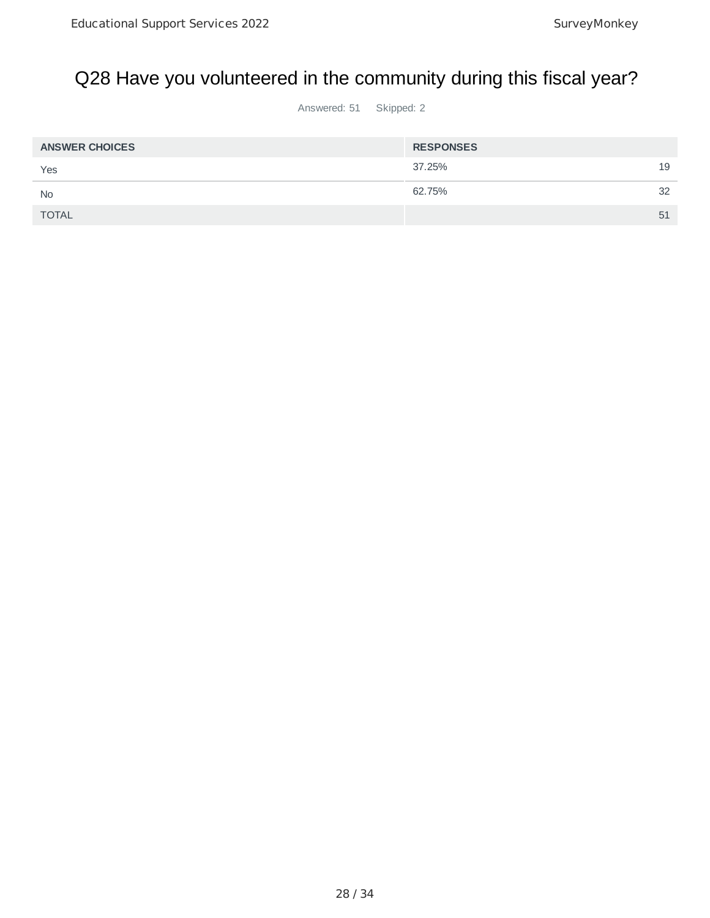#### Q28 Have you volunteered in the community during this fiscal year?

| <b>ANSWER CHOICES</b> | <b>RESPONSES</b> |    |
|-----------------------|------------------|----|
| Yes                   | 37.25%           | 19 |
| <b>No</b>             | 62.75%           | 32 |
| <b>TOTAL</b>          |                  | 51 |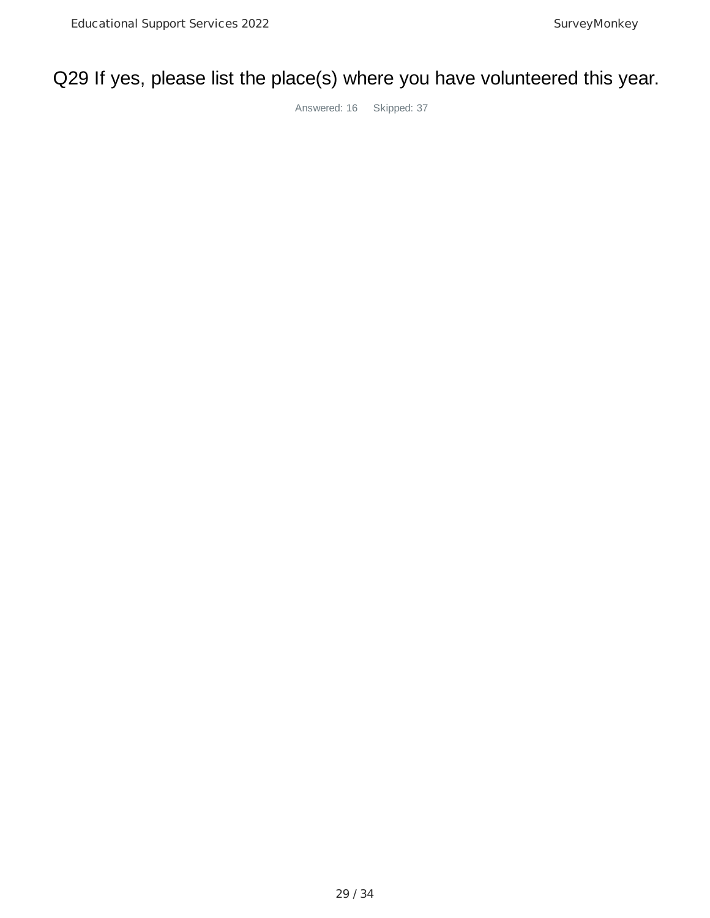# Q29 If yes, please list the place(s) where you have volunteered this year.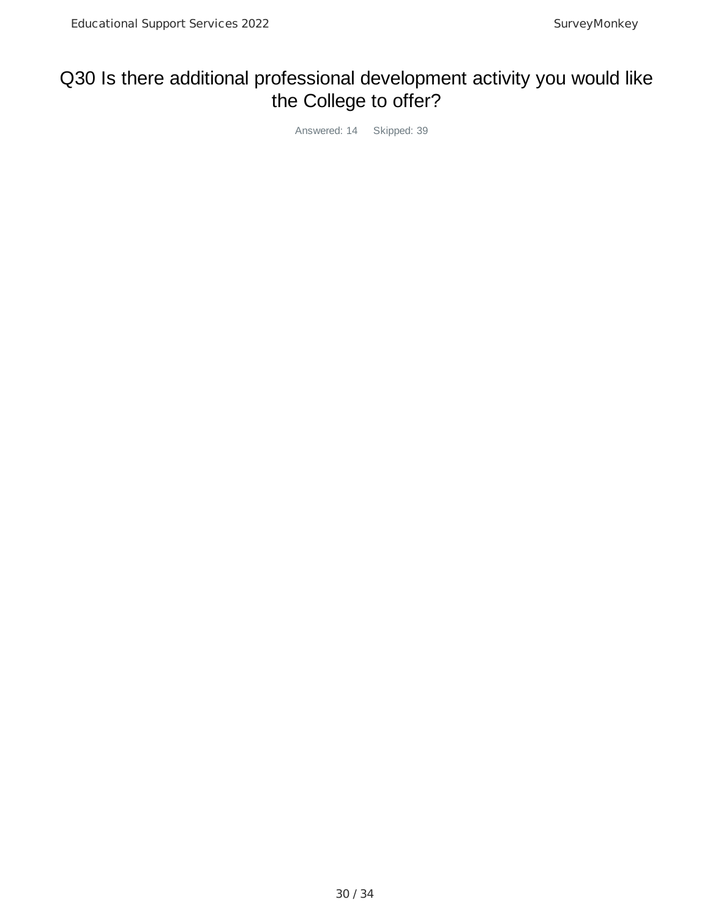### Q30 Is there additional professional development activity you would like the College to offer?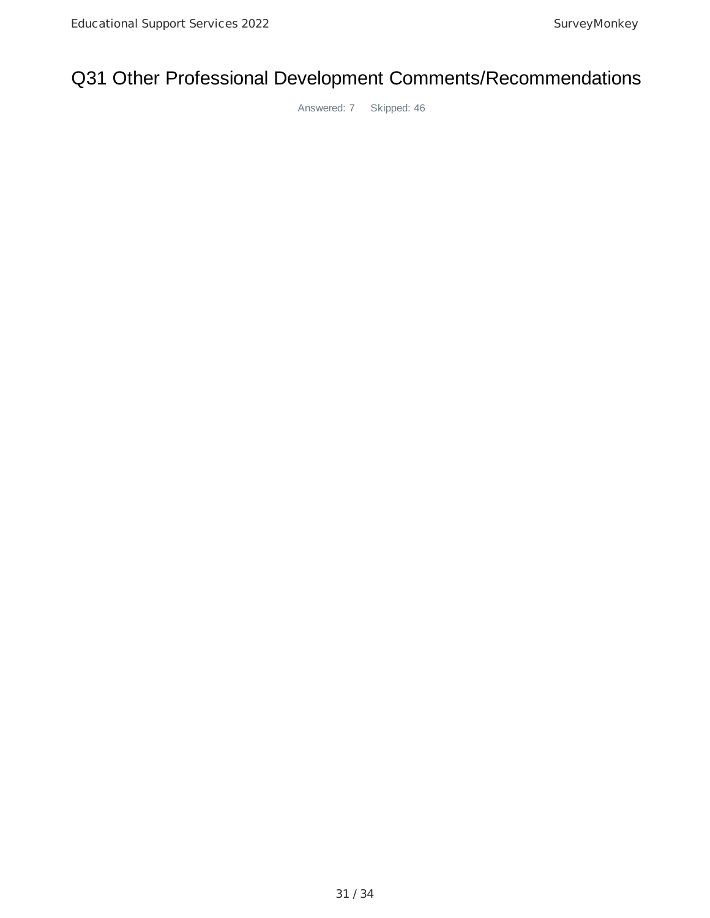# Q31 Other Professional Development Comments/Recommendations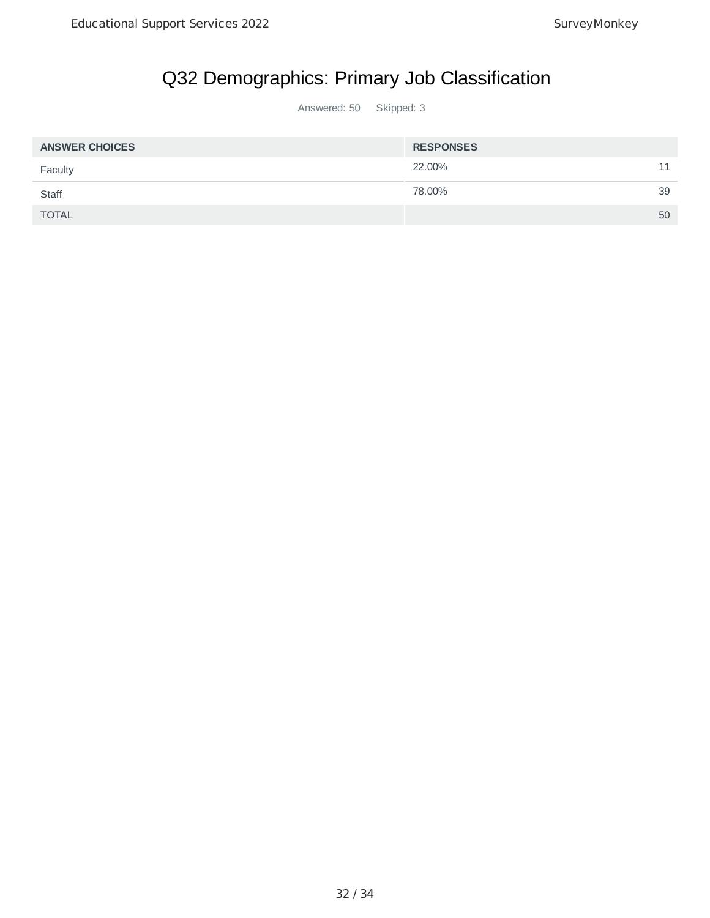# Q32 Demographics: Primary Job Classification

| <b>ANSWER CHOICES</b> | <b>RESPONSES</b> |          |
|-----------------------|------------------|----------|
| Faculty               | 22.00%           | 11<br>ᆠᆠ |
| Staff                 | 78.00%           | 39       |
| <b>TOTAL</b>          |                  | 50       |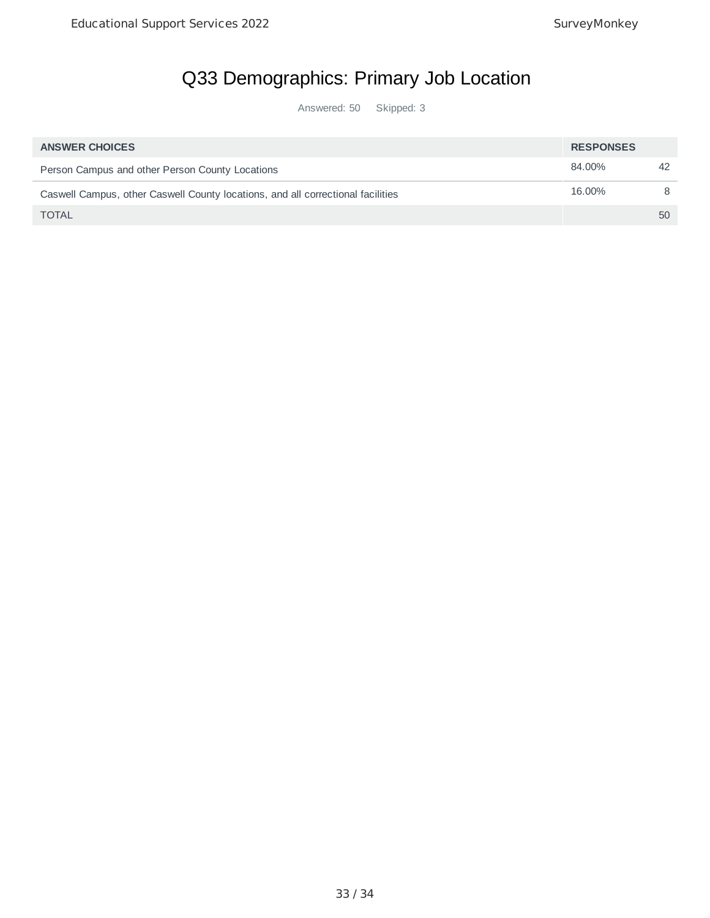# Q33 Demographics: Primary Job Location

| <b>ANSWER CHOICES</b>                                                           | <b>RESPONSES</b> |    |
|---------------------------------------------------------------------------------|------------------|----|
| Person Campus and other Person County Locations                                 | 84.00%           | 42 |
| Caswell Campus, other Caswell County locations, and all correctional facilities | 16.00%           | 8  |
| <b>TOTAL</b>                                                                    |                  | 50 |